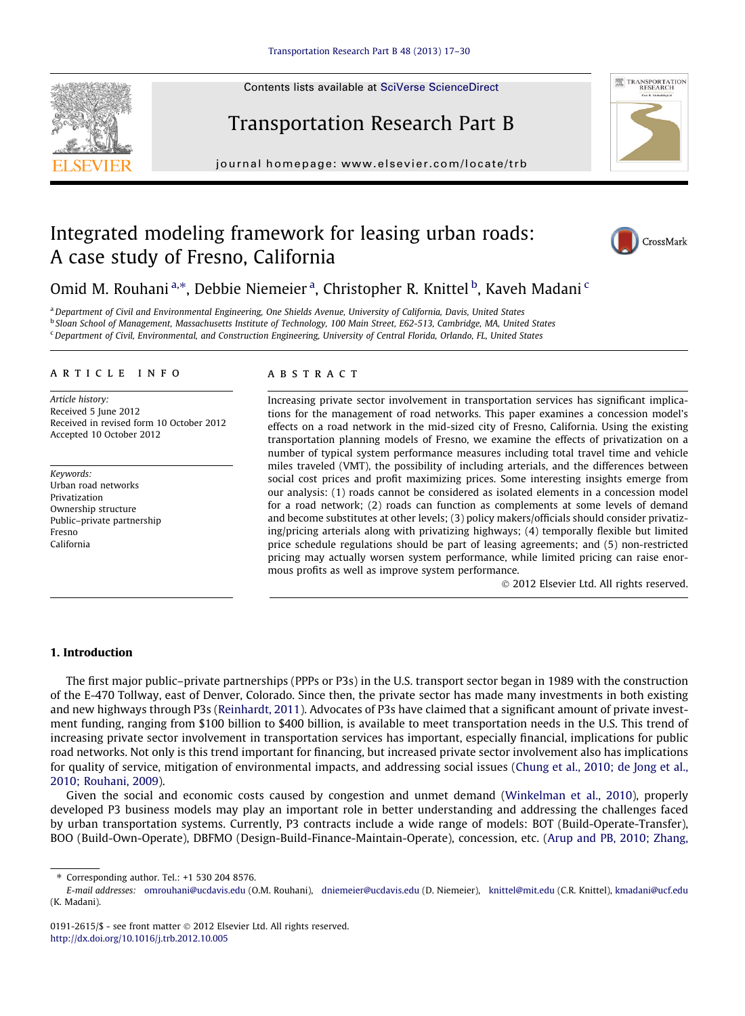Contents lists available at [SciVerse ScienceDirect](http://www.sciencedirect.com/science/journal/01912615)

# Transportation Research Part B

journal homepage: [www.elsevier.com/locate/trb](http://www.elsevier.com/locate/trb)

# Integrated modeling framework for leasing urban roads: A case study of Fresno, California



TRANSPORTATION<br>RESEARCH

Omid M. Rouhani<sup>a,\*</sup>, Debbie Niemeier<sup>a</sup>, Christopher R. Knittel<sup>b</sup>, Kaveh Madani<sup>c</sup>

<sup>a</sup> Department of Civil and Environmental Engineering, One Shields Avenue, University of California, Davis, United States <sup>b</sup> Sloan School of Management, Massachusetts Institute of Technology, 100 Main Street, E62-513, Cambridge, MA, United States <sup>c</sup> Department of Civil, Environmental, and Construction Engineering, University of Central Florida, Orlando, FL, United States

#### article info

Article history: Received 5 June 2012 Received in revised form 10 October 2012 Accepted 10 October 2012

Keywords: Urban road networks Privatization Ownership structure Public–private partnership Fresno California

#### **ABSTRACT**

Increasing private sector involvement in transportation services has significant implications for the management of road networks. This paper examines a concession model's effects on a road network in the mid-sized city of Fresno, California. Using the existing transportation planning models of Fresno, we examine the effects of privatization on a number of typical system performance measures including total travel time and vehicle miles traveled (VMT), the possibility of including arterials, and the differences between social cost prices and profit maximizing prices. Some interesting insights emerge from our analysis: (1) roads cannot be considered as isolated elements in a concession model for a road network; (2) roads can function as complements at some levels of demand and become substitutes at other levels; (3) policy makers/officials should consider privatizing/pricing arterials along with privatizing highways; (4) temporally flexible but limited price schedule regulations should be part of leasing agreements; and (5) non-restricted pricing may actually worsen system performance, while limited pricing can raise enormous profits as well as improve system performance.

- 2012 Elsevier Ltd. All rights reserved.

# 1. Introduction

The first major public–private partnerships (PPPs or P3s) in the U.S. transport sector began in 1989 with the construction of the E-470 Tollway, east of Denver, Colorado. Since then, the private sector has made many investments in both existing and new highways through P3s ([Reinhardt, 2011\)](#page-13-0). Advocates of P3s have claimed that a significant amount of private investment funding, ranging from \$100 billion to \$400 billion, is available to meet transportation needs in the U.S. This trend of increasing private sector involvement in transportation services has important, especially financial, implications for public road networks. Not only is this trend important for financing, but increased private sector involvement also has implications for quality of service, mitigation of environmental impacts, and addressing social issues [\(Chung et al., 2010; de Jong et al.,](#page-12-0) [2010; Rouhani, 2009\)](#page-12-0).

Given the social and economic costs caused by congestion and unmet demand [\(Winkelman et al., 2010](#page-13-0)), properly developed P3 business models may play an important role in better understanding and addressing the challenges faced by urban transportation systems. Currently, P3 contracts include a wide range of models: BOT (Build-Operate-Transfer), BOO (Build-Own-Operate), DBFMO (Design-Build-Finance-Maintain-Operate), concession, etc. [\(Arup and PB, 2010; Zhang,](#page-12-0)

<sup>⇑</sup> Corresponding author. Tel.: +1 530 204 8576.

E-mail addresses: [omrouhani@ucdavis.edu](mailto:omrouhani@ucdavis.edu) (O.M. Rouhani), [dniemeier@ucdavis.edu](mailto:dniemeier@ucdavis.edu) (D. Niemeier), [knittel@mit.edu](mailto:knittel@mit.edu) (C.R. Knittel), [kmadani@ucf.edu](mailto:kmadani@ucf.edu) (K. Madani).

<sup>0191-2615/\$ -</sup> see front matter © 2012 Elsevier Ltd. All rights reserved. <http://dx.doi.org/10.1016/j.trb.2012.10.005>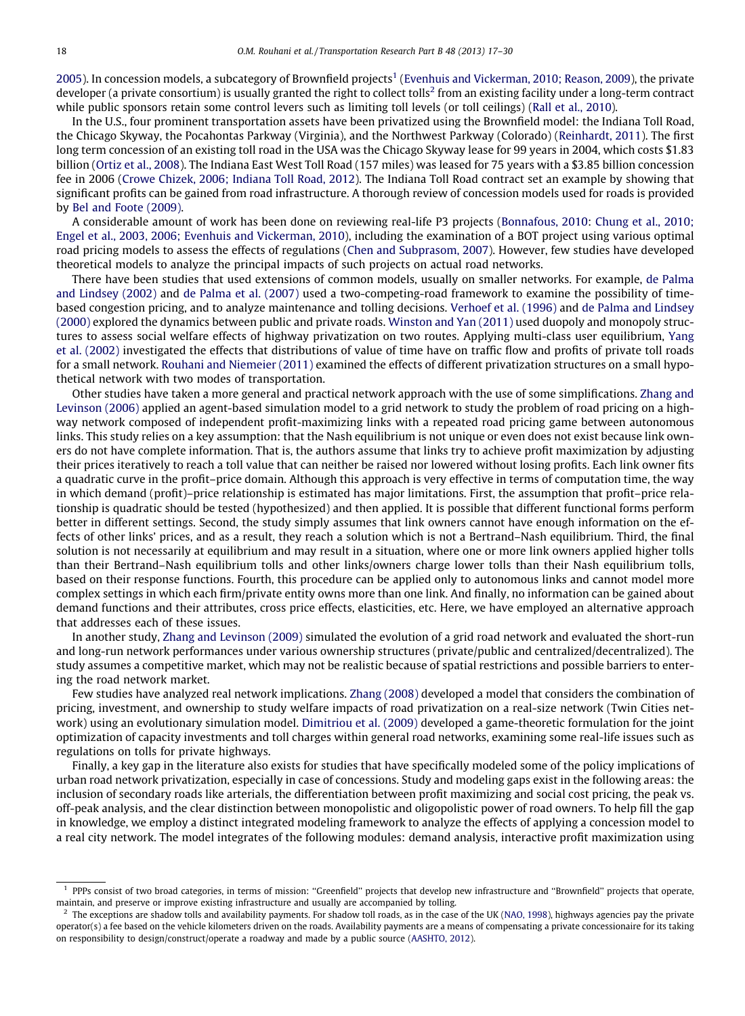[2005](#page-12-0)). In concession models, a subcategory of Brownfield projects<sup>1</sup> [\(Evenhuis and Vickerman, 2010; Reason, 2009\)](#page-12-0), the private developer (a private consortium) is usually granted the right to collect tolls<sup>2</sup> from an existing facility under a long-term contract while public sponsors retain some control levers such as limiting toll levels (or toll ceilings) [\(Rall et al., 2010\)](#page-13-0).

In the U.S., four prominent transportation assets have been privatized using the Brownfield model: the Indiana Toll Road, the Chicago Skyway, the Pocahontas Parkway (Virginia), and the Northwest Parkway (Colorado) ([Reinhardt, 2011\)](#page-13-0). The first long term concession of an existing toll road in the USA was the Chicago Skyway lease for 99 years in 2004, which costs \$1.83 billion [\(Ortiz et al., 2008](#page-13-0)). The Indiana East West Toll Road (157 miles) was leased for 75 years with a \$3.85 billion concession fee in 2006 [\(Crowe Chizek, 2006; Indiana Toll Road, 2012\)](#page-12-0). The Indiana Toll Road contract set an example by showing that significant profits can be gained from road infrastructure. A thorough review of concession models used for roads is provided by [Bel and Foote \(2009\)](#page-12-0).

A considerable amount of work has been done on reviewing real-life P3 projects ([Bonnafous, 2010:](#page-12-0) [Chung et al., 2010;](#page-12-0) [Engel et al., 2003, 2006; Evenhuis and Vickerman, 2010\)](#page-12-0), including the examination of a BOT project using various optimal road pricing models to assess the effects of regulations ([Chen and Subprasom, 2007](#page-12-0)). However, few studies have developed theoretical models to analyze the principal impacts of such projects on actual road networks.

There have been studies that used extensions of common models, usually on smaller networks. For example, [de Palma](#page-12-0) [and Lindsey \(2002\)](#page-12-0) and [de Palma et al. \(2007\)](#page-12-0) used a two-competing-road framework to examine the possibility of timebased congestion pricing, and to analyze maintenance and tolling decisions. [Verhoef et al. \(1996\)](#page-13-0) and [de Palma and Lindsey](#page-12-0) [\(2000\)](#page-12-0) explored the dynamics between public and private roads. [Winston and Yan \(2011\)](#page-13-0) used duopoly and monopoly structures to assess social welfare effects of highway privatization on two routes. Applying multi-class user equilibrium, [Yang](#page-13-0) [et al. \(2002\)](#page-13-0) investigated the effects that distributions of value of time have on traffic flow and profits of private toll roads for a small network. [Rouhani and Niemeier \(2011\)](#page-13-0) examined the effects of different privatization structures on a small hypothetical network with two modes of transportation.

Other studies have taken a more general and practical network approach with the use of some simplifications. [Zhang and](#page-13-0) [Levinson \(2006\)](#page-13-0) applied an agent-based simulation model to a grid network to study the problem of road pricing on a highway network composed of independent profit-maximizing links with a repeated road pricing game between autonomous links. This study relies on a key assumption: that the Nash equilibrium is not unique or even does not exist because link owners do not have complete information. That is, the authors assume that links try to achieve profit maximization by adjusting their prices iteratively to reach a toll value that can neither be raised nor lowered without losing profits. Each link owner fits a quadratic curve in the profit–price domain. Although this approach is very effective in terms of computation time, the way in which demand (profit)–price relationship is estimated has major limitations. First, the assumption that profit–price relationship is quadratic should be tested (hypothesized) and then applied. It is possible that different functional forms perform better in different settings. Second, the study simply assumes that link owners cannot have enough information on the effects of other links' prices, and as a result, they reach a solution which is not a Bertrand–Nash equilibrium. Third, the final solution is not necessarily at equilibrium and may result in a situation, where one or more link owners applied higher tolls than their Bertrand–Nash equilibrium tolls and other links/owners charge lower tolls than their Nash equilibrium tolls, based on their response functions. Fourth, this procedure can be applied only to autonomous links and cannot model more complex settings in which each firm/private entity owns more than one link. And finally, no information can be gained about demand functions and their attributes, cross price effects, elasticities, etc. Here, we have employed an alternative approach that addresses each of these issues.

In another study, [Zhang and Levinson \(2009\)](#page-13-0) simulated the evolution of a grid road network and evaluated the short-run and long-run network performances under various ownership structures (private/public and centralized/decentralized). The study assumes a competitive market, which may not be realistic because of spatial restrictions and possible barriers to entering the road network market.

Few studies have analyzed real network implications. [Zhang \(2008\)](#page-13-0) developed a model that considers the combination of pricing, investment, and ownership to study welfare impacts of road privatization on a real-size network (Twin Cities network) using an evolutionary simulation model. [Dimitriou et al. \(2009\)](#page-12-0) developed a game-theoretic formulation for the joint optimization of capacity investments and toll charges within general road networks, examining some real-life issues such as regulations on tolls for private highways.

Finally, a key gap in the literature also exists for studies that have specifically modeled some of the policy implications of urban road network privatization, especially in case of concessions. Study and modeling gaps exist in the following areas: the inclusion of secondary roads like arterials, the differentiation between profit maximizing and social cost pricing, the peak vs. off-peak analysis, and the clear distinction between monopolistic and oligopolistic power of road owners. To help fill the gap in knowledge, we employ a distinct integrated modeling framework to analyze the effects of applying a concession model to a real city network. The model integrates of the following modules: demand analysis, interactive profit maximization using

<sup>1</sup> PPPs consist of two broad categories, in terms of mission: ''Greenfield'' projects that develop new infrastructure and ''Brownfield'' projects that operate, maintain, and preserve or improve existing infrastructure and usually are accompanied by tolling.

 $^2$  The exceptions are shadow tolls and availability payments. For shadow toll roads, as in the case of the UK ([NAO, 1998](#page-13-0)), highways agencies pay the private operator(s) a fee based on the vehicle kilometers driven on the roads. Availability payments are a means of compensating a private concessionaire for its taking on responsibility to design/construct/operate a roadway and made by a public source ([AASHTO, 2012\)](#page-12-0).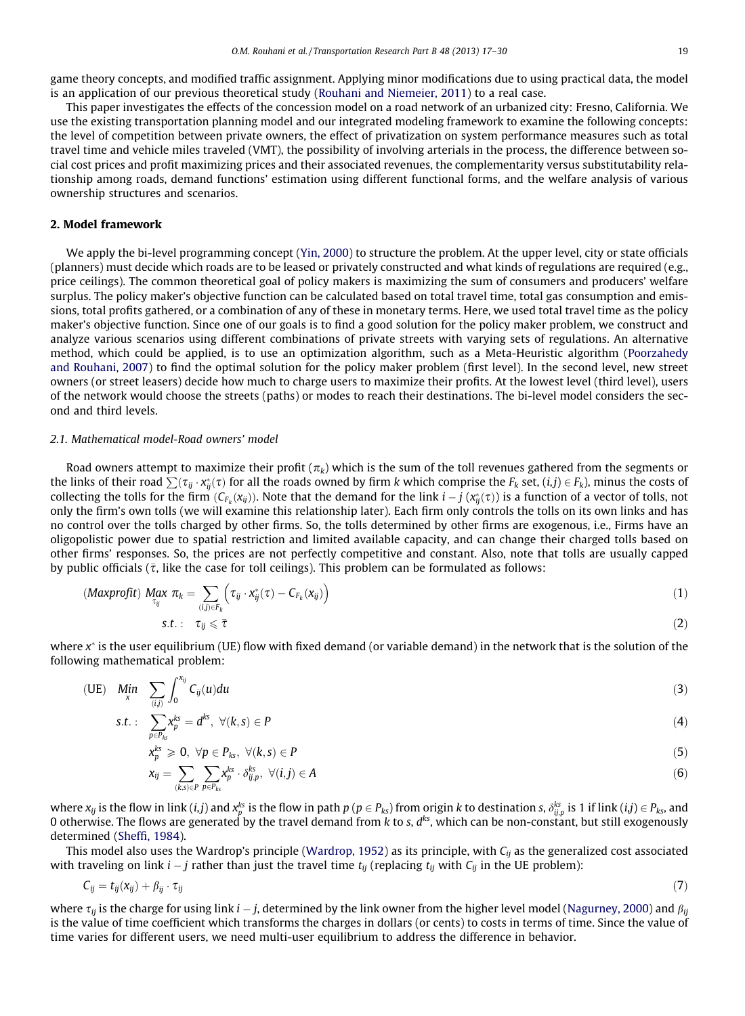<span id="page-2-0"></span>game theory concepts, and modified traffic assignment. Applying minor modifications due to using practical data, the model is an application of our previous theoretical study ([Rouhani and Niemeier, 2011](#page-13-0)) to a real case.

This paper investigates the effects of the concession model on a road network of an urbanized city: Fresno, California. We use the existing transportation planning model and our integrated modeling framework to examine the following concepts: the level of competition between private owners, the effect of privatization on system performance measures such as total travel time and vehicle miles traveled (VMT), the possibility of involving arterials in the process, the difference between social cost prices and profit maximizing prices and their associated revenues, the complementarity versus substitutability relationship among roads, demand functions' estimation using different functional forms, and the welfare analysis of various ownership structures and scenarios.

# 2. Model framework

We apply the bi-level programming concept ([Yin, 2000\)](#page-13-0) to structure the problem. At the upper level, city or state officials (planners) must decide which roads are to be leased or privately constructed and what kinds of regulations are required (e.g., price ceilings). The common theoretical goal of policy makers is maximizing the sum of consumers and producers' welfare surplus. The policy maker's objective function can be calculated based on total travel time, total gas consumption and emissions, total profits gathered, or a combination of any of these in monetary terms. Here, we used total travel time as the policy maker's objective function. Since one of our goals is to find a good solution for the policy maker problem, we construct and analyze various scenarios using different combinations of private streets with varying sets of regulations. An alternative method, which could be applied, is to use an optimization algorithm, such as a Meta-Heuristic algorithm [\(Poorzahedy](#page-13-0) [and Rouhani, 2007](#page-13-0)) to find the optimal solution for the policy maker problem (first level). In the second level, new street owners (or street leasers) decide how much to charge users to maximize their profits. At the lowest level (third level), users of the network would choose the streets (paths) or modes to reach their destinations. The bi-level model considers the second and third levels.

# 2.1. Mathematical model-Road owners' model

Road owners attempt to maximize their profit ( $\pi_k$ ) which is the sum of the toll revenues gathered from the segments or the links of their road  $\sum(\tau_{ij}\cdot x_{ij}^*(\tau)$  for all the roads owned by firm k which comprise the  $F_k$  set,  $(i,j)\in F_k$ ), minus the costs of collecting the tolls for the firm  $(C_{F_k}(x_{ij}))$ . Note that the demand for the link  $i-j$   $(x_{ij}^*(\tau))$  is a function of a vector of tolls, not only the firm's own tolls (we will examine this relationship later). Each firm only controls the tolls on its own links and has no control over the tolls charged by other firms. So, the tolls determined by other firms are exogenous, i.e., Firms have an oligopolistic power due to spatial restriction and limited available capacity, and can change their charged tolls based on other firms' responses. So, the prices are not perfectly competitive and constant. Also, note that tolls are usually capped by public officials ( $\bar{\tau}$ , like the case for toll ceilings). This problem can be formulated as follows:

$$
\begin{array}{ll}\n\text{(Maxprofit)} \ \text{Max} \ \pi_k = \sum_{(i,j) \in F_k} \left( \tau_{ij} \cdot x_{ij}^*(\tau) - C_{F_k}(x_{ij}) \right) \\
\text{s.t.}: \quad \tau_{ij} \leq \bar{\tau}\n\end{array} \tag{1}
$$

 $\bar{\tau}$  (2)

where  $x^*$  is the user equilibrium (UE) flow with fixed demand (or variable demand) in the network that is the solution of the following mathematical problem:

$$
(UE) \quad Min \quad \sum_{(i,j)} \int_0^{x_{ij}} C_{ij}(u) du \tag{3}
$$

$$
s.t. : \sum_{p \in P_{ks}} x_p^{ks} = d^{ks}, \ \forall (k, s) \in P
$$

$$
x_p^{ks} \geqslant 0, \ \forall p \in P_{ks}, \ \forall (k, s) \in P
$$
\n
$$
(5)
$$

$$
x_{ij} = \sum_{(k,s)\in P} \sum_{p\in P_{ks}} x_p^{ks} \cdot \delta_{ij,p}^{ks}, \ \forall (i,j) \in A
$$

where  $x_{ij}$  is the flow in link ( $i,j$ ) and  $x_p^{\rm ks}$  is the flow in path  $p$  ( $p\in P_{ks}$ ) from origin  $k$  to destination s,  $\delta_{ij,p}^{\rm ks}$  is 1 if link ( $ij)$   $\in$   $P_{ks}$ , and 0 otherwise. The flows are generated by the travel demand from  $\vec{k}$  to s,  $d^{ks}$ , which can be non-constant, but still exogenously determined [\(Sheffi, 1984](#page-13-0)).

This model also uses the Wardrop's principle ([Wardrop, 1952\)](#page-13-0) as its principle, with  $C_{ij}$  as the generalized cost associated with traveling on link  $i - j$  rather than just the travel time  $t_{ij}$  (replacing  $t_{ij}$  with  $C_{ij}$  in the UE problem):

$$
C_{ij} = t_{ij}(x_{ij}) + \beta_{ij} \cdot \tau_{ij} \tag{7}
$$

where  $\tau_{ii}$  is the charge for using link  $i - j$ , determined by the link owner from the higher level model ([Nagurney, 2000](#page-13-0)) and  $\beta_{ii}$ is the value of time coefficient which transforms the charges in dollars (or cents) to costs in terms of time. Since the value of time varies for different users, we need multi-user equilibrium to address the difference in behavior.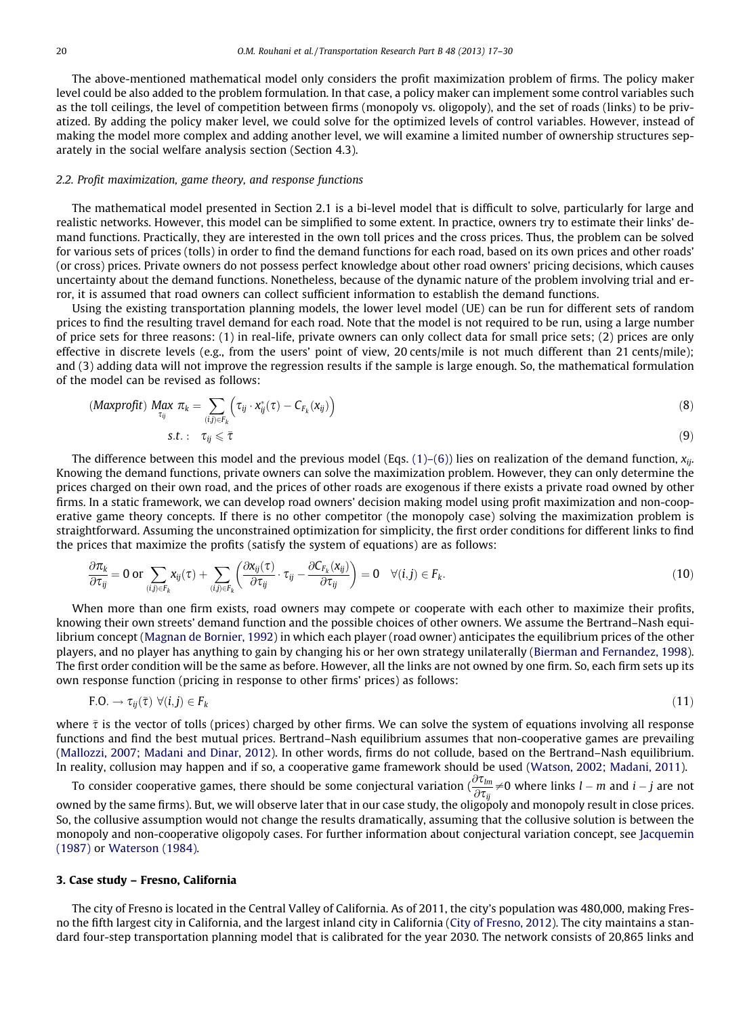The above-mentioned mathematical model only considers the profit maximization problem of firms. The policy maker level could be also added to the problem formulation. In that case, a policy maker can implement some control variables such as the toll ceilings, the level of competition between firms (monopoly vs. oligopoly), and the set of roads (links) to be privatized. By adding the policy maker level, we could solve for the optimized levels of control variables. However, instead of making the model more complex and adding another level, we will examine a limited number of ownership structures separately in the social welfare analysis section (Section 4.3).

### 2.2. Profit maximization, game theory, and response functions

The mathematical model presented in Section 2.1 is a bi-level model that is difficult to solve, particularly for large and realistic networks. However, this model can be simplified to some extent. In practice, owners try to estimate their links' demand functions. Practically, they are interested in the own toll prices and the cross prices. Thus, the problem can be solved for various sets of prices (tolls) in order to find the demand functions for each road, based on its own prices and other roads' (or cross) prices. Private owners do not possess perfect knowledge about other road owners' pricing decisions, which causes uncertainty about the demand functions. Nonetheless, because of the dynamic nature of the problem involving trial and error, it is assumed that road owners can collect sufficient information to establish the demand functions.

Using the existing transportation planning models, the lower level model (UE) can be run for different sets of random prices to find the resulting travel demand for each road. Note that the model is not required to be run, using a large number of price sets for three reasons: (1) in real-life, private owners can only collect data for small price sets; (2) prices are only effective in discrete levels (e.g., from the users' point of view, 20 cents/mile is not much different than 21 cents/mile); and (3) adding data will not improve the regression results if the sample is large enough. So, the mathematical formulation of the model can be revised as follows:

$$
\begin{array}{ll}\n\text{(Maxprofit)} \ \text{Max} \ \pi_k = \sum_{(i,j) \in F_k} \left( \tau_{ij} \cdot x_{ij}^*(\tau) - C_{F_k}(x_{ij}) \right) \\
\text{s.t.}: \quad \tau_{ij} \leq \bar{\tau}\n\end{array} \tag{8}
$$

The difference between this model and the previous model (Eqs. (1)–(6)) lies on realization of the demand function, 
$$
x_{ij}
$$
.  
Knowing the demand functions, private owners can solve the maximization problem. However, they can only determine the prices charged on their own road, and the prices of other roads are exogenous if there exists a private road owned by other

prices charged on their own road, and the prices of other roads are exogenous if there exists a private road owned by other firms. In a static framework, we can develop road owners' decision making model using profit maximization and non-cooperative game theory concepts. If there is no other competitor (the monopoly case) solving the maximization problem is straightforward. Assuming the unconstrained optimization for simplicity, the first order conditions for different links to find the prices that maximize the profits (satisfy the system of equations) are as follows:

$$
\frac{\partial \pi_k}{\partial \tau_{ij}} = 0 \text{ or } \sum_{(i,j)\in F_k} x_{ij}(\tau) + \sum_{(i,j)\in F_k} \left( \frac{\partial x_{ij}(\tau)}{\partial \tau_{ij}} \cdot \tau_{ij} - \frac{\partial C_{F_k}(x_{ij})}{\partial \tau_{ij}} \right) = 0 \quad \forall (i,j) \in F_k.
$$
\n(10)

When more than one firm exists, road owners may compete or cooperate with each other to maximize their profits, knowing their own streets' demand function and the possible choices of other owners. We assume the Bertrand–Nash equilibrium concept ([Magnan de Bornier, 1992\)](#page-12-0) in which each player (road owner) anticipates the equilibrium prices of the other players, and no player has anything to gain by changing his or her own strategy unilaterally [\(Bierman and Fernandez, 1998](#page-12-0)). The first order condition will be the same as before. However, all the links are not owned by one firm. So, each firm sets up its own response function (pricing in response to other firms' prices) as follows:

$$
\mathsf{F.O.} \to \tau_{ij}(\bar{\tau}) \,\,\forall (i,j) \in F_k \tag{11}
$$

where  $\bar{\tau}$  is the vector of tolls (prices) charged by other firms. We can solve the system of equations involving all response functions and find the best mutual prices. Bertrand–Nash equilibrium assumes that non-cooperative games are prevailing [\(Mallozzi, 2007; Madani and Dinar, 2012](#page-12-0)). In other words, firms do not collude, based on the Bertrand–Nash equilibrium. In reality, collusion may happen and if so, a cooperative game framework should be used ([Watson, 2002; Madani, 2011\)](#page-13-0).

To consider cooperative games, there should be some conjectural variation  $\left(\frac{\partial \tau_{lm}}{\partial \tau_{ij}}\neq 0\right)$  where links  $l - m$  and  $i - j$  are not owned by the same firms). But, we will observe later that in our case study, the oligopoly and monopoly result in close prices. So, the collusive assumption would not change the results dramatically, assuming that the collusive solution is between the monopoly and non-cooperative oligopoly cases. For further information about conjectural variation concept, see [Jacquemin](#page-12-0) [\(1987\)](#page-12-0) or [Waterson \(1984\).](#page-13-0)

# 3. Case study – Fresno, California

The city of Fresno is located in the Central Valley of California. As of 2011, the city's population was 480,000, making Fresno the fifth largest city in California, and the largest inland city in California [\(City of Fresno, 2012](#page-12-0)). The city maintains a standard four-step transportation planning model that is calibrated for the year 2030. The network consists of 20,865 links and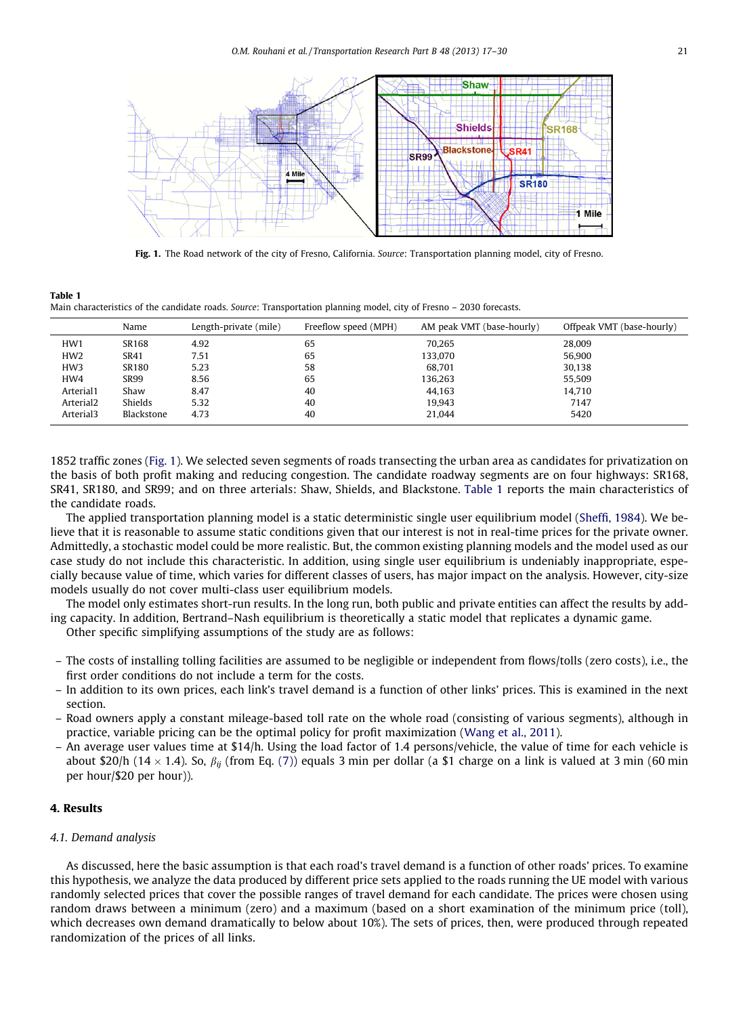

Fig. 1. The Road network of the city of Fresno, California. Source: Transportation planning model, city of Fresno.

| Table 1                                                                                                              |  |
|----------------------------------------------------------------------------------------------------------------------|--|
| Main characteristics of the candidate roads. Source: Transportation planning model, city of Fresno – 2030 forecasts. |  |

|                       | Name       | Length-private (mile) | Freeflow speed (MPH) | AM peak VMT (base-hourly) | Offpeak VMT (base-hourly) |
|-----------------------|------------|-----------------------|----------------------|---------------------------|---------------------------|
| HW1                   | SR168      | 4.92                  | 65                   | 70,265                    | 28,009                    |
| HW <sub>2</sub>       | SR41       | 7.51                  | 65                   | 133,070                   | 56,900                    |
| HW3                   | SR180      | 5.23                  | 58                   | 68.701                    | 30,138                    |
| HW4                   | SR99       | 8.56                  | 65                   | 136,263                   | 55.509                    |
| Arterial1             | Shaw       | 8.47                  | 40                   | 44,163                    | 14.710                    |
| Arterial <sub>2</sub> | Shields    | 5.32                  | 40                   | 19.943                    | 7147                      |
| Arterial <sub>3</sub> | Blackstone | 4.73                  | 40                   | 21,044                    | 5420                      |

1852 traffic zones (Fig. 1). We selected seven segments of roads transecting the urban area as candidates for privatization on the basis of both profit making and reducing congestion. The candidate roadway segments are on four highways: SR168, SR41, SR180, and SR99; and on three arterials: Shaw, Shields, and Blackstone. Table 1 reports the main characteristics of the candidate roads.

The applied transportation planning model is a static deterministic single user equilibrium model ([Sheffi, 1984](#page-13-0)). We believe that it is reasonable to assume static conditions given that our interest is not in real-time prices for the private owner. Admittedly, a stochastic model could be more realistic. But, the common existing planning models and the model used as our case study do not include this characteristic. In addition, using single user equilibrium is undeniably inappropriate, especially because value of time, which varies for different classes of users, has major impact on the analysis. However, city-size models usually do not cover multi-class user equilibrium models.

The model only estimates short-run results. In the long run, both public and private entities can affect the results by adding capacity. In addition, Bertrand–Nash equilibrium is theoretically a static model that replicates a dynamic game.

Other specific simplifying assumptions of the study are as follows:

- The costs of installing tolling facilities are assumed to be negligible or independent from flows/tolls (zero costs), i.e., the first order conditions do not include a term for the costs.
- In addition to its own prices, each link's travel demand is a function of other links' prices. This is examined in the next section.
- Road owners apply a constant mileage-based toll rate on the whole road (consisting of various segments), although in practice, variable pricing can be the optimal policy for profit maximization [\(Wang et al., 2011](#page-13-0)).
- An average user values time at \$14/h. Using the load factor of 1.4 persons/vehicle, the value of time for each vehicle is about \$20/h (14  $\times$  1.4). So,  $\beta_{ij}$  (from Eq. [\(7\)](#page-2-0)) equals 3 min per dollar (a \$1 charge on a link is valued at 3 min (60 min per hour/\$20 per hour)).

# 4. Results

# 4.1. Demand analysis

As discussed, here the basic assumption is that each road's travel demand is a function of other roads' prices. To examine this hypothesis, we analyze the data produced by different price sets applied to the roads running the UE model with various randomly selected prices that cover the possible ranges of travel demand for each candidate. The prices were chosen using random draws between a minimum (zero) and a maximum (based on a short examination of the minimum price (toll), which decreases own demand dramatically to below about 10%). The sets of prices, then, were produced through repeated randomization of the prices of all links.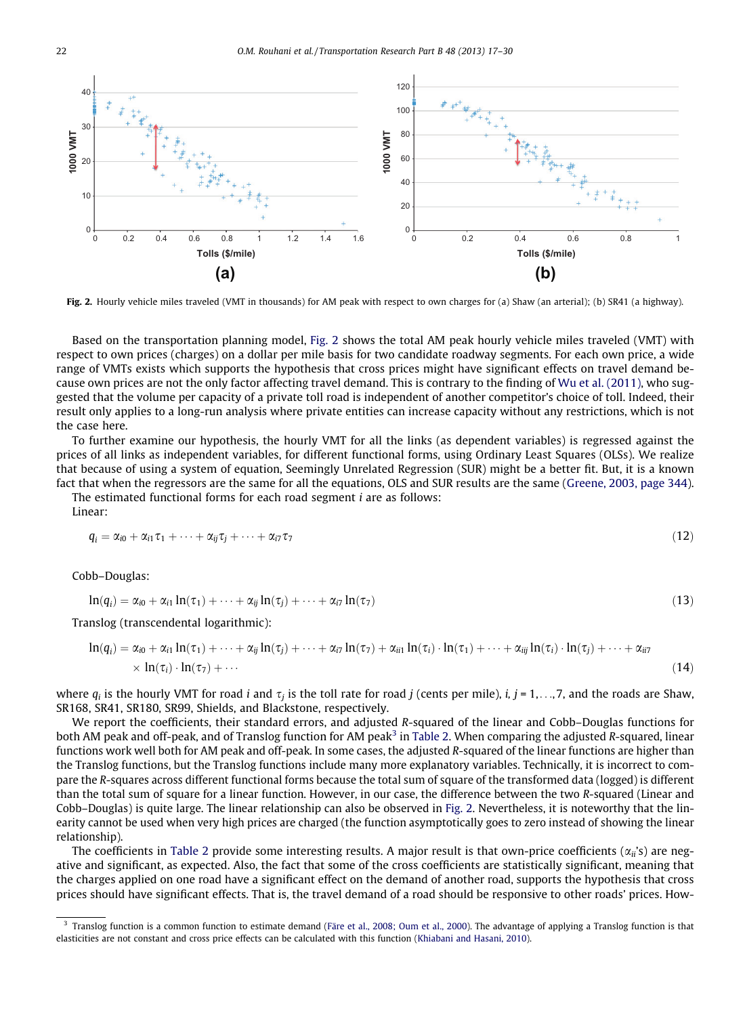<span id="page-5-0"></span>

Fig. 2. Hourly vehicle miles traveled (VMT in thousands) for AM peak with respect to own charges for (a) Shaw (an arterial); (b) SR41 (a highway).

Based on the transportation planning model, Fig. 2 shows the total AM peak hourly vehicle miles traveled (VMT) with respect to own prices (charges) on a dollar per mile basis for two candidate roadway segments. For each own price, a wide range of VMTs exists which supports the hypothesis that cross prices might have significant effects on travel demand because own prices are not the only factor affecting travel demand. This is contrary to the finding of [Wu et al. \(2011\),](#page-13-0) who suggested that the volume per capacity of a private toll road is independent of another competitor's choice of toll. Indeed, their result only applies to a long-run analysis where private entities can increase capacity without any restrictions, which is not the case here.

To further examine our hypothesis, the hourly VMT for all the links (as dependent variables) is regressed against the prices of all links as independent variables, for different functional forms, using Ordinary Least Squares (OLSs). We realize that because of using a system of equation, Seemingly Unrelated Regression (SUR) might be a better fit. But, it is a known fact that when the regressors are the same for all the equations, OLS and SUR results are the same [\(Greene, 2003, page 344](#page-12-0)).

The estimated functional forms for each road segment i are as follows: Linear:

$$
q_i = \alpha_{i0} + \alpha_{i1}\tau_1 + \dots + \alpha_{ij}\tau_j + \dots + \alpha_{i7}\tau_7 \tag{12}
$$

Cobb–Douglas:

 $ln(q_i) = \alpha_{i0} + \alpha_{i1} ln(\tau_1) + \cdots + \alpha_{ij} ln(\tau_j) + \cdots + \alpha_{i7} ln(\tau_7)$  (13)

Translog (transcendental logarithmic):

$$
\ln(q_i) = \alpha_{i0} + \alpha_{i1} \ln(\tau_1) + \dots + \alpha_{ij} \ln(\tau_j) + \dots + \alpha_{i7} \ln(\tau_7) + \alpha_{ii1} \ln(\tau_i) \cdot \ln(\tau_1) + \dots + \alpha_{iij} \ln(\tau_i) \cdot \ln(\tau_j) + \dots + \alpha_{ii7} \times \ln(\tau_i) \cdot \ln(\tau_7) + \dots
$$
\n(14)

where  $q_i$  is the hourly VMT for road i and  $\tau_i$  is the toll rate for road j (cents per mile), i, j = 1,..., 7, and the roads are Shaw, SR168, SR41, SR180, SR99, Shields, and Blackstone, respectively.

We report the coefficients, their standard errors, and adjusted R-squared of the linear and Cobb–Douglas functions for both AM peak and off-peak, and of Translog function for AM peak<sup>3</sup> in [Table 2](#page-6-0). When comparing the adjusted R-squared, linear functions work well both for AM peak and off-peak. In some cases, the adjusted R-squared of the linear functions are higher than the Translog functions, but the Translog functions include many more explanatory variables. Technically, it is incorrect to compare the R-squares across different functional forms because the total sum of square of the transformed data (logged) is different than the total sum of square for a linear function. However, in our case, the difference between the two R-squared (Linear and Cobb–Douglas) is quite large. The linear relationship can also be observed in Fig. 2. Nevertheless, it is noteworthy that the linearity cannot be used when very high prices are charged (the function asymptotically goes to zero instead of showing the linear relationship).

The coefficients in [Table 2](#page-6-0) provide some interesting results. A major result is that own-price coefficients ( $\alpha_{ii}$ 's) are negative and significant, as expected. Also, the fact that some of the cross coefficients are statistically significant, meaning that the charges applied on one road have a significant effect on the demand of another road, supports the hypothesis that cross prices should have significant effects. That is, the travel demand of a road should be responsive to other roads' prices. How-

<sup>3</sup> Translog function is a common function to estimate demand [\(Färe et al., 2008; Oum et al., 2000](#page-12-0)). The advantage of applying a Translog function is that elasticities are not constant and cross price effects can be calculated with this function [\(Khiabani and Hasani, 2010\)](#page-12-0).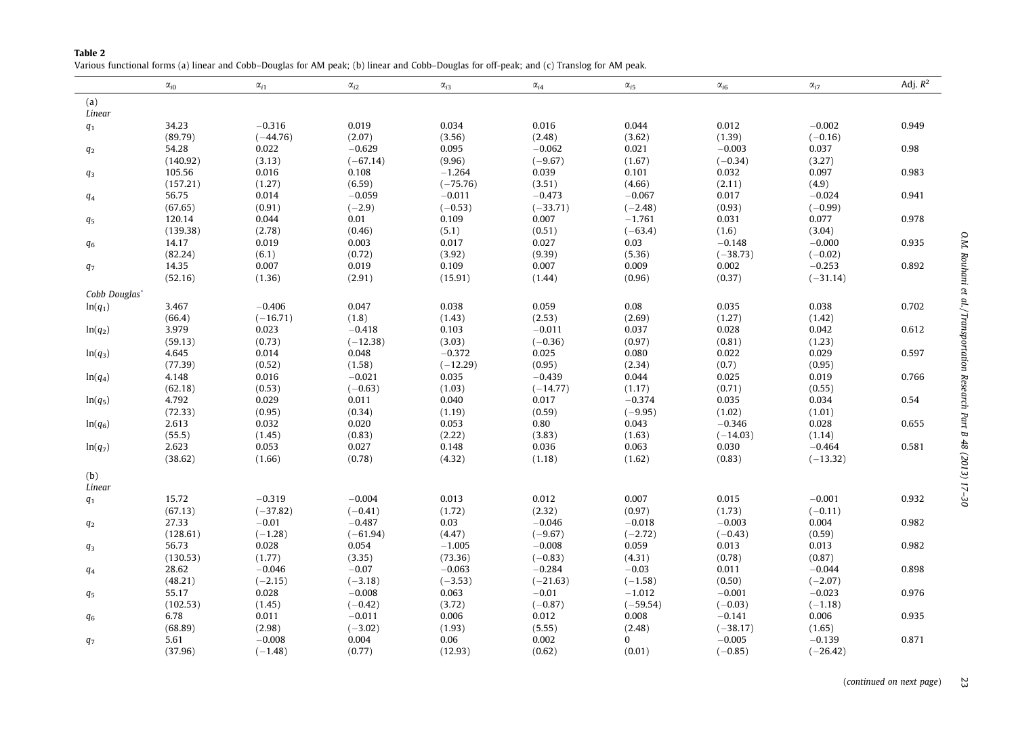<span id="page-6-0"></span>

| Table 2                                                                                                                                  |  |  |
|------------------------------------------------------------------------------------------------------------------------------------------|--|--|
| Various functional forms (a) linear and Cobb-Douglas for AM peak; (b) linear and Cobb-Douglas for off-peak; and (c) Translog for AM peak |  |  |

|                | $\alpha_{i0}$ | $\alpha_{i1}$ | $\alpha_{i2}$ | $\alpha_{i3}$ | $\alpha_{i4}$ | $\alpha_{i5}$ | $\alpha_{i6}$ | $\alpha_{i7}$ | Adj. $R^2$ |
|----------------|---------------|---------------|---------------|---------------|---------------|---------------|---------------|---------------|------------|
| (a)            |               |               |               |               |               |               |               |               |            |
| Linear         |               |               |               |               |               |               |               |               |            |
| $q_{1}$        | 34.23         | $-0.316$      | 0.019         | 0.034         | 0.016         | 0.044         | 0.012         | $-0.002$      | 0.949      |
|                | (89.79)       | $(-44.76)$    | (2.07)        | (3.56)        | (2.48)        | (3.62)        | (1.39)        | $(-0.16)$     |            |
| $q_{2}$        | 54.28         | 0.022         | $-0.629$      | 0.095         | $-0.062$      | 0.021         | $-0.003$      | 0.037         | 0.98       |
|                | (140.92)      | (3.13)        | $(-67.14)$    | (9.96)        | $(-9.67)$     | (1.67)        | $(-0.34)$     | (3.27)        |            |
| $q_3$          | 105.56        | 0.016         | 0.108         | $-1.264$      | 0.039         | 0.101         | 0.032         | 0.097         | 0.983      |
|                | (157.21)      | (1.27)        | (6.59)        | $(-75.76)$    | (3.51)        | (4.66)        | (2.11)        | (4.9)         |            |
| $q_4$          | 56.75         | 0.014         | $-0.059$      | $-0.011$      | $-0.473$      | $-0.067$      | 0.017         | $-0.024$      | 0.941      |
|                | (67.65)       | (0.91)        | $(-2.9)$      | $(-0.53)$     | $(-33.71)$    | $(-2.48)$     | (0.93)        | $(-0.99)$     |            |
| $q_{5}$        | 120.14        | 0.044         | 0.01          | 0.109         | 0.007         | $-1.761$      | 0.031         | 0.077         | 0.978      |
|                | (139.38)      | (2.78)        | (0.46)        | (5.1)         | (0.51)        | $(-63.4)$     | (1.6)         | (3.04)        |            |
| $q_{6}$        | 14.17         | 0.019         | 0.003         | 0.017         | 0.027         | 0.03          | $-0.148$      | $-0.000$      | 0.935      |
|                | (82.24)       | (6.1)         | (0.72)        | (3.92)        | (9.39)        | (5.36)        | $(-38.73)$    | $(-0.02)$     |            |
| q <sub>7</sub> | 14.35         | 0.007         | 0.019         | 0.109         | 0.007         | 0.009         | 0.002         | $-0.253$      | 0.892      |
|                | (52.16)       | (1.36)        | (2.91)        | (15.91)       | (1.44)        | (0.96)        | (0.37)        | $(-31.14)$    |            |
|                |               |               |               |               |               |               |               |               |            |
| Cobb Douglas*  |               |               |               |               |               |               |               |               |            |
| $ln(q_1)$      | 3.467         | $-0.406$      | 0.047         | 0.038         | 0.059         | 0.08          | 0.035         | 0.038         | 0.702      |
|                | (66.4)        | $(-16.71)$    | (1.8)         | (1.43)        | (2.53)        | (2.69)        | (1.27)        | (1.42)        |            |
| $ln(q_2)$      | 3.979         | 0.023         | $-0.418$      | 0.103         | $-0.011$      | 0.037         | 0.028         | 0.042         | 0.612      |
|                | (59.13)       | (0.73)        | $(-12.38)$    | (3.03)        | $(-0.36)$     | (0.97)        | (0.81)        | (1.23)        |            |
| $ln(q_3)$      | 4.645         | 0.014         | 0.048         | $-0.372$      | 0.025         | 0.080         | 0.022         | 0.029         | 0.597      |
|                | (77.39)       | (0.52)        | (1.58)        | $(-12.29)$    | (0.95)        | (2.34)        | (0.7)         | (0.95)        |            |
| $ln(q_4)$      | 4.148         | 0.016         | $-0.021$      | 0.035         | $-0.439$      | 0.044         | 0.025         | 0.019         | 0.766      |
|                | (62.18)       | (0.53)        | $(-0.63)$     | (1.03)        | $(-14.77)$    | (1.17)        | (0.71)        | (0.55)        |            |
| $ln(q_5)$      | 4.792         | 0.029         | 0.011         | 0.040         | 0.017         | $-0.374$      | 0.035         | 0.034         | 0.54       |
|                | (72.33)       | (0.95)        | (0.34)        | (1.19)        | (0.59)        | $(-9.95)$     | (1.02)        | (1.01)        |            |
| $ln(q_6)$      | 2.613         | 0.032         | 0.020         | 0.053         | 0.80          | 0.043         | $-0.346$      | 0.028         | 0.655      |
|                | (55.5)        | (1.45)        | (0.83)        | (2.22)        | (3.83)        | (1.63)        | $(-14.03)$    | (1.14)        |            |
| $ln(q_7)$      | 2.623         | 0.053         | 0.027         | 0.148         | 0.036         | 0.063         | 0.030         | $-0.464$      | 0.581      |
|                | (38.62)       | (1.66)        | (0.78)        | (4.32)        | (1.18)        | (1.62)        | (0.83)        | $(-13.32)$    |            |
|                |               |               |               |               |               |               |               |               |            |
| (b)            |               |               |               |               |               |               |               |               |            |
| Linear         |               |               |               |               |               |               |               |               |            |
| $q_{1}$        | 15.72         | $-0.319$      | $-0.004$      | 0.013         | 0.012         | 0.007         | 0.015         | $-0.001$      | 0.932      |
|                | (67.13)       | $(-37.82)$    | $(-0.41)$     | (1.72)        | (2.32)        | (0.97)        | (1.73)        | $(-0.11)$     |            |
| $q_{2}$        | 27.33         | $-0.01$       | $-0.487$      | 0.03          | $-0.046$      | $-0.018$      | $-0.003$      | 0.004         | 0.982      |
|                | (128.61)      | $(-1.28)$     | $(-61.94)$    | (4.47)        | $(-9.67)$     | $(-2.72)$     | $(-0.43)$     | (0.59)        |            |
| $q_3$          | 56.73         | 0.028         | 0.054         | $-1.005$      | $-0.008$      | 0.059         | 0.013         | 0.013         | 0.982      |
|                | (130.53)      | (1.77)        | (3.35)        | (73.36)       | $(-0.83)$     | (4.31)        | (0.78)        | (0.87)        |            |
| $q_4$          | 28.62         | $-0.046$      | $-0.07$       | $-0.063$      | $-0.284$      | $-0.03$       | 0.011         | $-0.044$      | 0.898      |
|                | (48.21)       | $(-2.15)$     | $(-3.18)$     | $(-3.53)$     | $(-21.63)$    | $(-1.58)$     | (0.50)        | $(-2.07)$     |            |
| q <sub>5</sub> | 55.17         | 0.028         | $-0.008$      | 0.063         | $-0.01$       | $-1.012$      | $-0.001$      | $-0.023$      | 0.976      |
|                | (102.53)      | (1.45)        | $(-0.42)$     | (3.72)        | $(-0.87)$     | $(-59.54)$    | $(-0.03)$     | $(-1.18)$     |            |
|                | 6.78          | 0.011         | $-0.011$      | 0.006         | 0.012         | 0.008         | $-0.141$      | 0.006         | 0.935      |
| $q_{6}$        | (68.89)       | (2.98)        | $(-3.02)$     | (1.93)        | (5.55)        | (2.48)        | $(-38.17)$    | (1.65)        |            |
|                |               | $-0.008$      |               |               |               | 0             |               | $-0.139$      | 0.871      |
| $q_7$          | 5.61          |               | 0.004         | 0.06          | 0.002         |               | $-0.005$      |               |            |
|                | (37.96)       | $(-1.48)$     | (0.77)        | (12.93)       | (0.62)        | (0.01)        | $(-0.85)$     | $(-26.42)$    |            |

(continued on next page) 23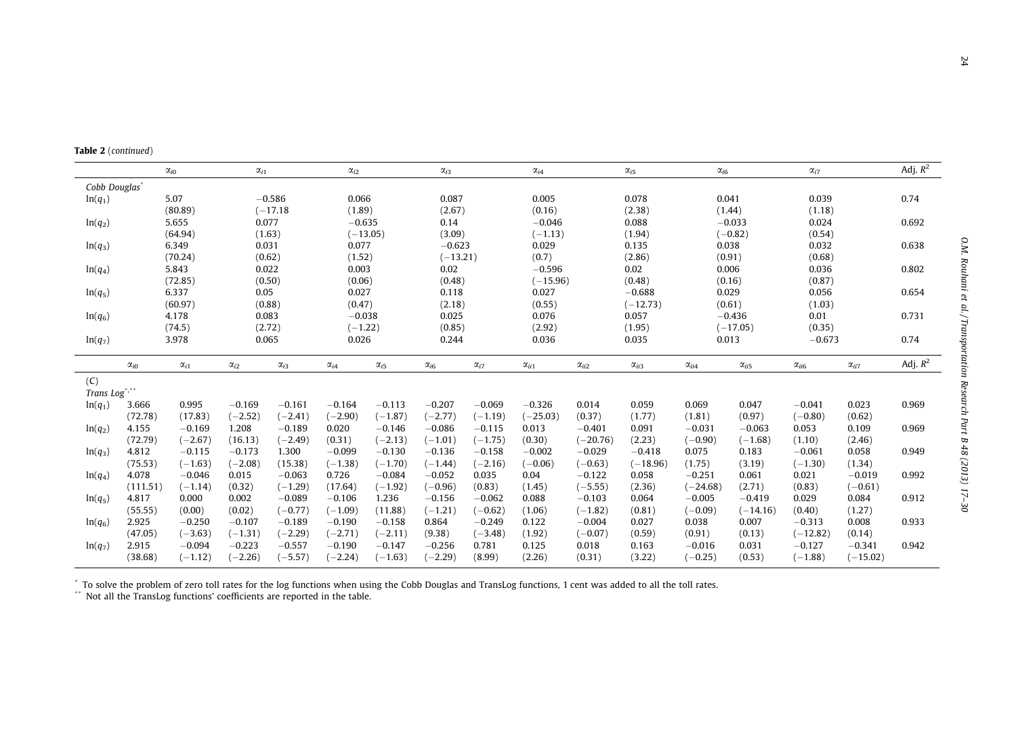<span id="page-7-0"></span>

| <b>Table 2</b> (continued) |  |  |
|----------------------------|--|--|
|----------------------------|--|--|

|                               |               | $\alpha_{i0}$ | $\alpha_{i1}$ |               | $\alpha_{i2}$ |               | $\alpha_{i3}$ |                | $\alpha_{i4}$  |                | $\alpha_{i5}$  | $\alpha_{i6}$  |                | $\alpha_{i7}$  |                | Adj. $R^2$ |
|-------------------------------|---------------|---------------|---------------|---------------|---------------|---------------|---------------|----------------|----------------|----------------|----------------|----------------|----------------|----------------|----------------|------------|
| Cobb Douglas'                 |               |               |               |               |               |               |               |                |                |                |                |                |                |                |                |            |
| $ln(q_1)$                     |               | 5.07          |               | $-0.586$      | 0.066         |               |               | 0.087<br>0.005 |                |                | 0.078          | 0.041          |                | 0.039          |                | 0.74       |
|                               |               | (80.89)       |               | $(-17.18$     | (1.89)        |               | (2.67)        |                | (0.16)         |                | (2.38)         | (1.44)         |                | (1.18)         |                |            |
| $ln(q_2)$                     |               | 5.655         | 0.077         |               | $-0.635$      |               | 0.14          |                | $-0.046$       |                | 0.088          |                | $-0.033$       | 0.024          |                | 0.692      |
|                               |               | (64.94)       | (1.63)        |               |               | $(-13.05)$    | (3.09)        |                | $(-1.13)$      |                | (1.94)         |                | $(-0.82)$      | (0.54)         |                |            |
| $ln(q_3)$                     |               | 6.349         | 0.031         |               | 0.077         |               | $-0.623$      |                | 0.029          |                | 0.135          | 0.038          |                | 0.032          |                | 0.638      |
|                               |               | (70.24)       | (0.62)        |               | (1.52)        |               | $(-13.21)$    |                | (0.7)          |                | (2.86)         | (0.91)         |                | (0.68)         |                |            |
| $ln(q_4)$                     |               | 5.843         | 0.022         |               | 0.003         |               | 0.02          |                | $-0.596$       |                | 0.02           | 0.006          |                | 0.036          |                | 0.802      |
|                               |               | (72.85)       | (0.50)        |               | (0.06)        |               | (0.48)        |                | $(-15.96)$     |                | (0.48)         | (0.16)         |                | (0.87)         |                |            |
| $ln(q_5)$                     |               | 6.337         | 0.05          |               | 0.027         |               | 0.118         |                | 0.027          |                | $-0.688$       | 0.029          |                | 0.056          |                | 0.654      |
|                               |               | (60.97)       | (0.88)        |               | (0.47)        |               | (2.18)        |                | (0.55)         |                | $(-12.73)$     | (0.61)         |                | (1.03)         |                |            |
| $ln(q_6)$                     |               | 4.178         | 0.083         |               | $-0.038$      |               | 0.025         |                | 0.076          |                | 0.057          |                | $-0.436$       | 0.01           |                | 0.731      |
|                               |               | (74.5)        | (2.72)        |               | $(-1.22)$     |               | (0.85)        |                | (2.92)         |                | (1.95)         |                | $(-17.05)$     | (0.35)         |                |            |
| $ln(q_7)$                     |               | 3.978         | 0.065         |               | 0.026         |               | 0.244         |                | 0.036          |                | 0.035          | 0.013          |                | $-0.673$       |                | 0.74       |
|                               |               |               |               |               |               |               |               |                |                |                |                |                |                |                |                |            |
|                               | $\alpha_{i0}$ | $\alpha_{i1}$ | $\alpha_{i2}$ | $\alpha_{i3}$ | $\alpha_{i4}$ | $\alpha_{i5}$ | $\alpha_{i6}$ | $\alpha_{i7}$  | $\alpha_{ii1}$ | $\alpha_{ii2}$ | $\alpha_{ii3}$ | $\alpha_{ii4}$ | $\alpha_{ii5}$ | $\alpha_{ii6}$ | $\alpha_{ii7}$ | Adj. $R^2$ |
| (C)<br>$\it Trans~Log^{*,**}$ |               |               |               |               |               |               |               |                |                |                |                |                |                |                |                |            |
| $ln(q_1)$                     | 3.666         | 0.995         | $-0.169$      | $-0.161$      | $-0.164$      | $-0.113$      | $-0.207$      | $-0.069$       | $-0.326$       | 0.014          | 0.059          | 0.069          | 0.047          | $-0.041$       | 0.023          | 0.969      |
|                               | (72.78)       | (17.83)       | $(-2.52)$     | $(-2.41)$     | $(-2.90)$     | $(-1.87)$     | $(-2.77)$     | $(-1.19)$      | $(-25.03)$     | (0.37)         | (1.77)         | (1.81)         | (0.97)         | $(-0.80)$      | (0.62)         |            |
| $ln(q_2)$                     | 4.155         | $-0.169$      | 1.208         | $-0.189$      | 0.020         | $-0.146$      | $-0.086$      | $-0.115$       | 0.013          | $-0.401$       | 0.091          | $-0.031$       | $-0.063$       | 0.053          | 0.109          | 0.969      |
|                               | (72.79)       | $(-2.67)$     | (16.13)       | $(-2.49)$     | (0.31)        | $(-2.13)$     | $(-1.01)$     | $(-1.75)$      | (0.30)         | $(-20.76)$     | (2.23)         | $(-0.90)$      | $(-1.68)$      | (1.10)         | (2.46)         |            |
| $ln(q_3)$                     | 4.812         | $-0.115$      | $-0.173$      | 1.300         | $-0.099$      | $-0.130$      | $-0.136$      | $-0.158$       | $-0.002$       | $-0.029$       | $-0.418$       | 0.075          | 0.183          | $-0.061$       | 0.058          | 0.949      |
|                               | (75.53)       | $(-1.63)$     | $(-2.08)$     | (15.38)       | $(-1.38)$     | $(-1.70)$     | $(-1.44)$     | $(-2.16)$      | $(-0.06)$      | $(-0.63)$      | $(-18.96)$     | (1.75)         | (3.19)         | $(-1.30)$      | (1.34)         |            |
| $ln(q_4)$                     | 4.078         | $-0.046$      | 0.015         | $-0.063$      | 0.726         | $-0.084$      | $-0.052$      | 0.035          | 0.04           | $-0.122$       | 0.058          | $-0.251$       | 0.061          | 0.021          | $-0.019$       | 0.992      |
|                               | (111.51)      | $(-1.14)$     | (0.32)        | $(-1.29)$     | (17.64)       | $(-1.92)$     | $(-0.96)$     | (0.83)         | (1.45)         | $(-5.55)$      | (2.36)         | $(-24.68)$     | (2.71)         | (0.83)         | $(-0.61)$      |            |
| $ln(q_5)$                     | 4.817         | 0.000         | 0.002         | $-0.089$      | $-0.106$      | 1.236         | $-0.156$      | $-0.062$       | 0.088          | $-0.103$       | 0.064          | $-0.005$       | $-0.419$       | 0.029          | 0.084          | 0.912      |
|                               | (55.55)       | (0.00)        | (0.02)        | $(-0.77)$     | $(-1.09)$     | (11.88)       | $(-1.21)$     | $(-0.62)$      | (1.06)         | $(-1.82)$      | (0.81)         | $(-0.09)$      | $(-14.16)$     | (0.40)         | (1.27)         |            |
| $ln(q_6)$                     | 2.925         | $-0.250$      | $-0.107$      | $-0.189$      | $-0.190$      | $-0.158$      | 0.864         | $-0.249$       | 0.122          | $-0.004$       | 0.027          | 0.038          | 0.007          | $-0.313$       | 0.008          | 0.933      |
|                               | (47.05)       | $(-3.63)$     | $(-1.31)$     | $(-2.29)$     | $(-2.71)$     | $(-2.11)$     | (9.38)        | $(-3.48)$      | (1.92)         | $(-0.07)$      | (0.59)         | (0.91)         | (0.13)         | $(-12.82)$     | (0.14)         |            |
| $ln(q_7)$                     | 2.915         | $-0.094$      | $-0.223$      | $-0.557$      | $-0.190$      | $-0.147$      | $-0.256$      | 0.781          | 0.125          | 0.018          | 0.163          | $-0.016$       | 0.031          | $-0.127$       | $-0.341$       | 0.942      |
|                               | (38.68)       | $(-1.12)$     | $(-2.26)$     | $(-5.57)$     | $(-2.24)$     | $(-1.63)$     | $(-2.29)$     | (8.99)         | (2.26)         | (0.31)         | (3.22)         | $(-0.25)$      | (0.53)         | $(-1.88)$      | $(-15.02)$     |            |

\* To solve the problem of zero toll rates for the log functions when using the Cobb Douglas and TransLog functions, 1 cent was added to all the toll rates.<br>\*\* Not all the TransLog functions' coefficients are reported in th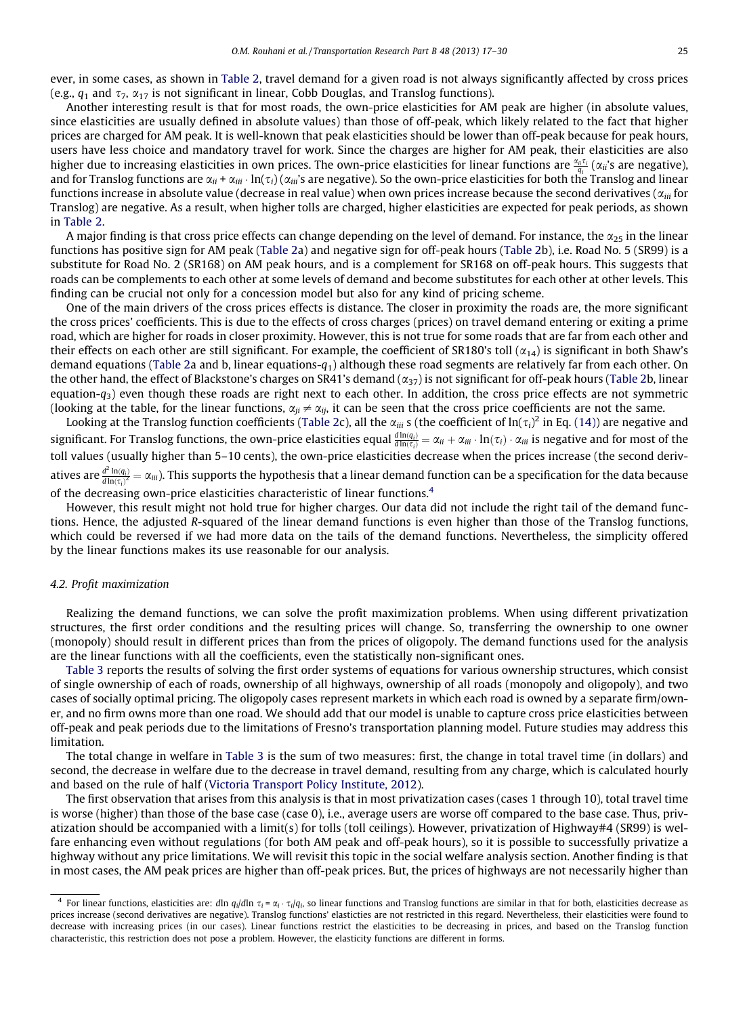ever, in some cases, as shown in [Table 2,](#page-6-0) travel demand for a given road is not always significantly affected by cross prices (e.g.,  $q_1$  and  $\tau_7$ ,  $\alpha_{17}$  is not significant in linear, Cobb Douglas, and Translog functions).

Another interesting result is that for most roads, the own-price elasticities for AM peak are higher (in absolute values, since elasticities are usually defined in absolute values) than those of off-peak, which likely related to the fact that higher prices are charged for AM peak. It is well-known that peak elasticities should be lower than off-peak because for peak hours, users have less choice and mandatory travel for work. Since the charges are higher for AM peak, their elasticities are also higher due to increasing elasticities in own prices. The own-price elasticities for linear functions are  $\frac{\alpha_{ii}\tau_i}{q_i}(\alpha_{ii}$ 's are negative), and for Translog functions are  $\alpha_{ii}$  +  $\alpha_{iii}$  . In( $\tau_i$ ) ( $\alpha_{iii}$ 's are negative). So the own-price elasticities for both the Translog and linear functions increase in absolute value (decrease in real value) when own prices increase because the second derivatives ( $\alpha_{iii}$  for Translog) are negative. As a result, when higher tolls are charged, higher elasticities are expected for peak periods, as shown in [Table 2.](#page-6-0)

A major finding is that cross price effects can change depending on the level of demand. For instance, the  $\alpha_{25}$  in the linear functions has positive sign for AM peak [\(Table 2a](#page-6-0)) and negative sign for off-peak hours ([Table 2b](#page-6-0)), i.e. Road No. 5 (SR99) is a substitute for Road No. 2 (SR168) on AM peak hours, and is a complement for SR168 on off-peak hours. This suggests that roads can be complements to each other at some levels of demand and become substitutes for each other at other levels. This finding can be crucial not only for a concession model but also for any kind of pricing scheme.

One of the main drivers of the cross prices effects is distance. The closer in proximity the roads are, the more significant the cross prices' coefficients. This is due to the effects of cross charges (prices) on travel demand entering or exiting a prime road, which are higher for roads in closer proximity. However, this is not true for some roads that are far from each other and their effects on each other are still significant. For example, the coefficient of SR180's toll ( $\alpha_{14}$ ) is significant in both Shaw's demand equations ([Table 2](#page-6-0)a and b, linear equations- $q_1$ ) although these road segments are relatively far from each other. On the other hand, the effect of Blackstone's charges on SR41's demand  $(\alpha_{37})$  is not significant for off-peak hours ([Table 2b](#page-6-0), linear equation- $q_3$ ) even though these roads are right next to each other. In addition, the cross price effects are not symmetric (looking at the table, for the linear functions,  $\alpha_{ii} \neq \alpha_{ii}$ , it can be seen that the cross price coefficients are not the same.

Looking at the Translog function coefficients ([Table 2](#page-6-0)c), all the  $\alpha_{iii}$  s (the coefficient of ln( $\tau_i$ ) $^2$  in Eq. [\(14\)\)](#page-5-0) are negative and significant. For Translog functions, the own-price elasticities equal  $\frac{d\ln(q_i)}{d\ln(\tau_i)}=\alpha_{ii}+\alpha_{iii}\cdot\ln(\tau_i)\cdot\alpha_{iii}$  is negative and for most of the toll values (usually higher than 5–10 cents), the own-price elasticities decrease when the prices increase (the second derivatives are  $\frac{d^2\ln(q_i)}{d\ln(\tau_i)^2}=\alpha_{iii}$ ). This supports the hypothesis that a linear demand function can be a specification for the data because of the decreasing own-price elasticities characteristic of linear functions.4

However, this result might not hold true for higher charges. Our data did not include the right tail of the demand functions. Hence, the adjusted R-squared of the linear demand functions is even higher than those of the Translog functions, which could be reversed if we had more data on the tails of the demand functions. Nevertheless, the simplicity offered by the linear functions makes its use reasonable for our analysis.

### 4.2. Profit maximization

Realizing the demand functions, we can solve the profit maximization problems. When using different privatization structures, the first order conditions and the resulting prices will change. So, transferring the ownership to one owner (monopoly) should result in different prices than from the prices of oligopoly. The demand functions used for the analysis are the linear functions with all the coefficients, even the statistically non-significant ones.

[Table 3](#page-9-0) reports the results of solving the first order systems of equations for various ownership structures, which consist of single ownership of each of roads, ownership of all highways, ownership of all roads (monopoly and oligopoly), and two cases of socially optimal pricing. The oligopoly cases represent markets in which each road is owned by a separate firm/owner, and no firm owns more than one road. We should add that our model is unable to capture cross price elasticities between off-peak and peak periods due to the limitations of Fresno's transportation planning model. Future studies may address this limitation.

The total change in welfare in [Table 3](#page-9-0) is the sum of two measures: first, the change in total travel time (in dollars) and second, the decrease in welfare due to the decrease in travel demand, resulting from any charge, which is calculated hourly and based on the rule of half ([Victoria Transport Policy Institute, 2012\)](#page-13-0).

The first observation that arises from this analysis is that in most privatization cases (cases 1 through 10), total travel time is worse (higher) than those of the base case (case 0), i.e., average users are worse off compared to the base case. Thus, privatization should be accompanied with a limit(s) for tolls (toll ceilings). However, privatization of Highway#4 (SR99) is welfare enhancing even without regulations (for both AM peak and off-peak hours), so it is possible to successfully privatize a highway without any price limitations. We will revisit this topic in the social welfare analysis section. Another finding is that in most cases, the AM peak prices are higher than off-peak prices. But, the prices of highways are not necessarily higher than

 $^4$  For linear functions, elasticities are: dln q<sub>i</sub>/dln  $\tau_i = \alpha_i \cdot \tau_i/q_i$ , so linear functions and Translog functions are similar in that for both, elasticities decrease as prices increase (second derivatives are negative). Translog functions' elasticties are not restricted in this regard. Nevertheless, their elasticities were found to decrease with increasing prices (in our cases). Linear functions restrict the elasticities to be decreasing in prices, and based on the Translog function characteristic, this restriction does not pose a problem. However, the elasticity functions are different in forms.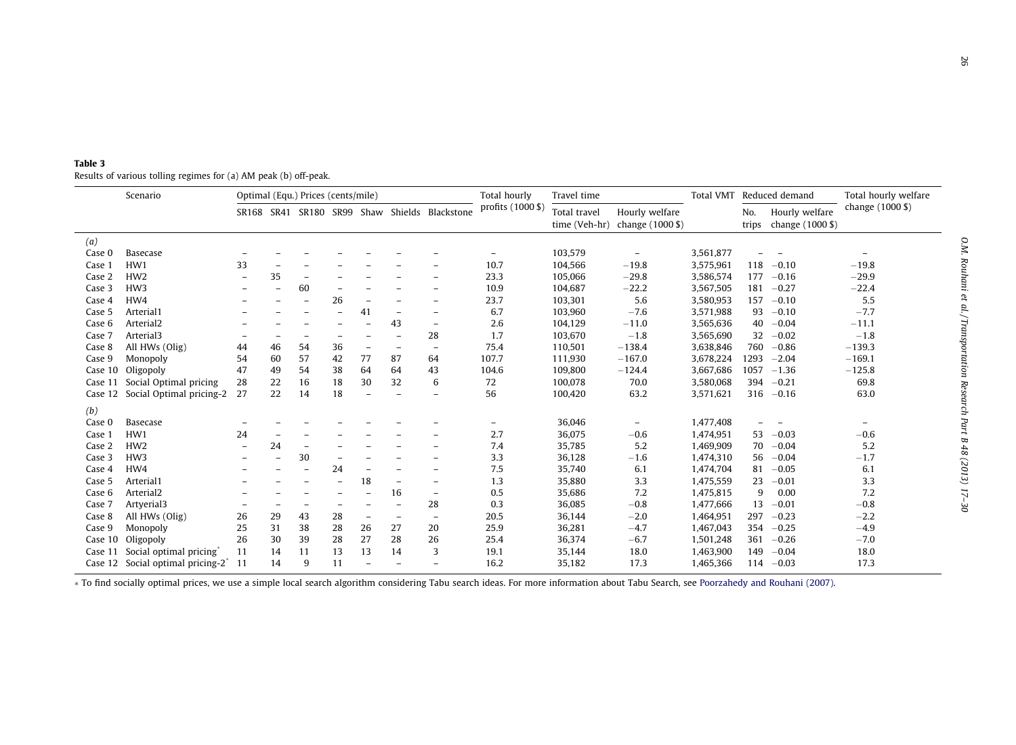|         | Scenario                                      |                          |                          | Optimal (Equ.) Prices (cents/mile) |                          |                          |                          |                          | Total hourly             | Travel time                          |                                    | <b>Total VMT</b> |                          | Reduced demand                    | Total hourly welfare     |
|---------|-----------------------------------------------|--------------------------|--------------------------|------------------------------------|--------------------------|--------------------------|--------------------------|--------------------------|--------------------------|--------------------------------------|------------------------------------|------------------|--------------------------|-----------------------------------|--------------------------|
|         |                                               |                          |                          | SR168 SR41 SR180 SR99 Shaw         |                          |                          |                          | Shields Blackstone       | profits (1000 \$)        | <b>Total</b> travel<br>time (Veh-hr) | Hourly welfare<br>change (1000 \$) |                  | No.<br>trips             | Hourly welfare<br>change (1000\$) | change (1000\$)          |
| (a)     |                                               |                          |                          |                                    |                          |                          |                          |                          |                          |                                      |                                    |                  |                          |                                   |                          |
| Case 0  | Basecase                                      |                          |                          |                                    |                          |                          |                          |                          | $\overline{\phantom{a}}$ | 103,579                              | $\overline{\phantom{a}}$           | 3,561,877        |                          |                                   | $\overline{\phantom{a}}$ |
| Case 1  | HW1                                           | 33                       |                          |                                    |                          |                          |                          |                          | 10.7                     | 104,566                              | $-19.8$                            | 3,575,961        | 118                      | $-0.10$                           | $-19.8$                  |
| Case 2  | HW <sub>2</sub>                               |                          | 35                       |                                    |                          |                          |                          |                          | 23.3                     | 105,066                              | $-29.8$                            | 3,586,574        | 177                      | $-0.16$                           | $-29.9$                  |
| Case 3  | HW3                                           | $\overline{\phantom{0}}$ | $\overline{\phantom{m}}$ | 60                                 | $\overline{\phantom{0}}$ | $\overline{\phantom{0}}$ | $\overline{\phantom{a}}$ | $\overline{\phantom{m}}$ | 10.9                     | 104,687                              | $-22.2$                            | 3,567,505        | 181                      | $-0.27$                           | $-22.4$                  |
| Case 4  | HW4                                           |                          |                          | $\overline{\phantom{0}}$           | 26                       | $\overline{\phantom{0}}$ | $\overline{\phantom{a}}$ | $\qquad \qquad -$        | 23.7                     | 103,301                              | 5.6                                | 3,580,953        | 157                      | $-0.10$                           | 5.5                      |
| Case 5  | Arterial1                                     |                          |                          |                                    | $\overline{\phantom{0}}$ | 41                       | $\overline{\phantom{a}}$ | $\overline{\phantom{m}}$ | 6.7                      | 103,960                              | $-7.6$                             | 3,571,988        | 93                       | $-0.10$                           | $-7.7$                   |
| Case 6  | Arterial <sub>2</sub>                         |                          |                          |                                    |                          | $\overline{\phantom{0}}$ | 43                       | $\overline{\phantom{0}}$ | 2.6                      | 104,129                              | $-11.0$                            | 3,565,636        | 40                       | $-0.04$                           | $-11.1$                  |
| Case 7  | Arterial3                                     |                          |                          | $\overline{a}$                     | $\overline{\phantom{0}}$ | $\qquad \qquad$          | $\overline{\phantom{0}}$ | 28                       | 1.7                      | 103.670                              | $-1.8$                             | 3,565,690        | 32                       | $-0.02$                           | $-1.8$                   |
| Case 8  | All HWs (Olig)                                | 44                       | 46                       | 54                                 | 36                       | $\overline{\phantom{0}}$ | $\overline{\phantom{a}}$ | $\overline{\phantom{m}}$ | 75.4                     | 110,501                              | $-138.4$                           | 3,638,846        | 760                      | $-0.86$                           | $-139.3$                 |
| Case 9  | Monopoly                                      | 54                       | 60                       | 57                                 | 42                       | 77                       | 87                       | 64                       | 107.7                    | 111,930                              | $-167.0$                           | 3,678,224        | 1293                     | $-2.04$                           | $-169.1$                 |
| Case 10 | Oligopoly                                     | 47                       | 49                       | 54                                 | 38                       | 64                       | 64                       | 43                       | 104.6                    | 109,800                              | $-124.4$                           | 3,667,686        | 1057                     | $-1.36$                           | $-125.8$                 |
| Case 11 | Social Optimal pricing                        | 28                       | 22                       | 16                                 | 18                       | 30                       | 32                       | 6                        | 72                       | 100,078                              | 70.0                               | 3,580,068        | 394                      | $-0.21$                           | 69.8                     |
| Case 12 | Social Optimal pricing-2                      | 27                       | 22                       | 14                                 | 18                       | $\overline{\phantom{0}}$ |                          | $\qquad \qquad -$        | 56                       | 100,420                              | 63.2                               | 3,571,621        | 316                      | $-0.16$                           | 63.0                     |
| (b)     |                                               |                          |                          |                                    |                          |                          |                          |                          |                          |                                      |                                    |                  |                          |                                   |                          |
| Case 0  | Basecase                                      |                          |                          |                                    |                          |                          |                          |                          | $\qquad \qquad -$        | 36,046                               | $\overline{\phantom{m}}$           | 1,477,408        | $\overline{\phantom{0}}$ |                                   | $\overline{\phantom{0}}$ |
| Case 1  | HW1                                           | 24                       | $\overline{\phantom{m}}$ | $\overline{\phantom{0}}$           |                          |                          |                          |                          | 2.7                      | 36,075                               | $-0.6$                             | 1,474,951        | 53                       | $-0.03$                           | $-0.6$                   |
| Case 2  | HW <sub>2</sub>                               |                          | 24                       | $\overline{\phantom{0}}$           |                          |                          |                          |                          | 7.4                      | 35,785                               | 5.2                                | 1,469,909        | 70                       | $-0.04$                           | 5.2                      |
| Case 3  | HW3                                           |                          | -                        | 30                                 |                          |                          |                          |                          | 3.3                      | 36,128                               | $-1.6$                             | 1,474,310        | 56                       | $-0.04$                           | $-1.7$                   |
| Case 4  | HW4                                           |                          |                          | ۳                                  | 24                       | $\overline{\phantom{0}}$ | $\overline{\phantom{a}}$ | $\overline{\phantom{m}}$ | 7.5                      | 35,740                               | 6.1                                | 1,474,704        | 81                       | $-0.05$                           | 6.1                      |
| Case 5  | Arterial1                                     |                          |                          | $\overline{\phantom{a}}$           | $\overline{\phantom{0}}$ | 18                       | $\overline{\phantom{0}}$ | $\overline{\phantom{m}}$ | 1.3                      | 35,880                               | 3.3                                | 1,475,559        | 23                       | $-0.01$                           | 3.3                      |
| Case 6  | Arterial <sub>2</sub>                         |                          |                          |                                    |                          | $\overline{\phantom{0}}$ | 16                       | $\overline{\phantom{m}}$ | 0.5                      | 35,686                               | 7.2                                | 1,475,815        | 9                        | 0.00                              | 7.2                      |
| Case 7  | Artyerial3                                    |                          |                          | $\overline{\phantom{0}}$           |                          | $\qquad \qquad$          | $\overline{\phantom{a}}$ | 28                       | 0.3                      | 36,085                               | $-0.8$                             | 1,477,666        | 13                       | $-0.01$                           | $-0.8$                   |
| Case 8  | All HWs (Olig)                                | 26                       | 29                       | 43                                 | 28                       | $\overline{\phantom{m}}$ | $\overline{\phantom{0}}$ | $\overline{\phantom{m}}$ | 20.5                     | 36,144                               | $-2.0$                             | 1,464,951        | 297                      | $-0.23$                           | $-2.2$                   |
| Case 9  | Monopoly                                      | 25                       | 31                       | 38                                 | 28                       | 26                       | 27                       | 20                       | 25.9                     | 36,281                               | $-4.7$                             | 1,467,043        | 354                      | $-0.25$                           | $-4.9$                   |
| Case 10 | Oligopoly                                     | 26                       | 30                       | 39                                 | 28                       | 27                       | 28                       | 26                       | 25.4                     | 36,374                               | $-6.7$                             | 1,501,248        | 361                      | $-0.26$                           | $-7.0$                   |
| Case 11 | Social optimal pricing                        | 11                       | 14                       | 11                                 | 13                       | 13                       | 14                       | 3                        | 19.1                     | 35,144                               | 18.0                               | 1,463,900        | 149                      | $-0.04$                           | 18.0                     |
|         | Case 12 Social optimal pricing-2 <sup>*</sup> | -11                      | 14                       | 9                                  | 11                       | $\overline{\phantom{0}}$ |                          |                          | 16.2                     | 35,182                               | 17.3                               | 1,465,366        | 114                      | $-0.03$                           | 17.3                     |

<span id="page-9-0"></span>Table 3Results of various tolling regimes for (a) AM peak (b) off-peak.

To find socially optimal prices, we use <sup>a</sup> simple local search algorithm considering Tabu search ideas. For more information about Tabu Search, see [Poorzahedy](#page-13-0) and Rouhani (2007).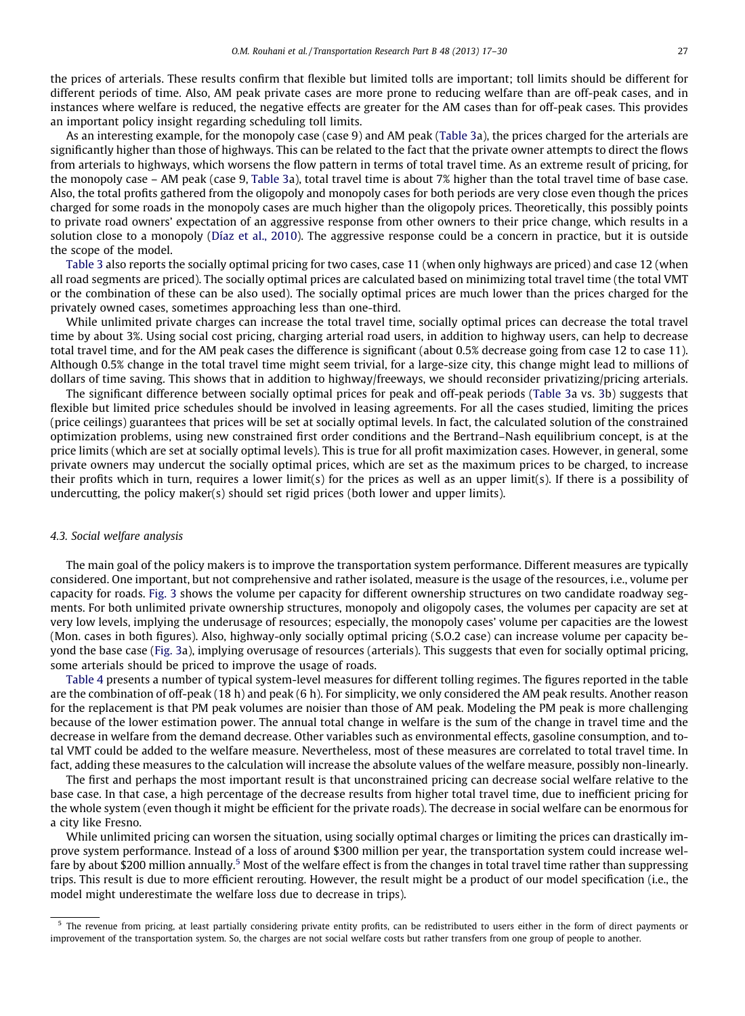the prices of arterials. These results confirm that flexible but limited tolls are important; toll limits should be different for different periods of time. Also, AM peak private cases are more prone to reducing welfare than are off-peak cases, and in instances where welfare is reduced, the negative effects are greater for the AM cases than for off-peak cases. This provides an important policy insight regarding scheduling toll limits.

As an interesting example, for the monopoly case (case 9) and AM peak [\(Table 3a](#page-9-0)), the prices charged for the arterials are significantly higher than those of highways. This can be related to the fact that the private owner attempts to direct the flows from arterials to highways, which worsens the flow pattern in terms of total travel time. As an extreme result of pricing, for the monopoly case – AM peak (case 9, [Table 3](#page-9-0)a), total travel time is about 7% higher than the total travel time of base case. Also, the total profits gathered from the oligopoly and monopoly cases for both periods are very close even though the prices charged for some roads in the monopoly cases are much higher than the oligopoly prices. Theoretically, this possibly points to private road owners' expectation of an aggressive response from other owners to their price change, which results in a solution close to a monopoly ([Díaz et al., 2010](#page-12-0)). The aggressive response could be a concern in practice, but it is outside the scope of the model.

[Table 3](#page-9-0) also reports the socially optimal pricing for two cases, case 11 (when only highways are priced) and case 12 (when all road segments are priced). The socially optimal prices are calculated based on minimizing total travel time (the total VMT or the combination of these can be also used). The socially optimal prices are much lower than the prices charged for the privately owned cases, sometimes approaching less than one-third.

While unlimited private charges can increase the total travel time, socially optimal prices can decrease the total travel time by about 3%. Using social cost pricing, charging arterial road users, in addition to highway users, can help to decrease total travel time, and for the AM peak cases the difference is significant (about 0.5% decrease going from case 12 to case 11). Although 0.5% change in the total travel time might seem trivial, for a large-size city, this change might lead to millions of dollars of time saving. This shows that in addition to highway/freeways, we should reconsider privatizing/pricing arterials.

The significant difference between socially optimal prices for peak and off-peak periods ([Table 3a](#page-9-0) vs. [3](#page-9-0)b) suggests that flexible but limited price schedules should be involved in leasing agreements. For all the cases studied, limiting the prices (price ceilings) guarantees that prices will be set at socially optimal levels. In fact, the calculated solution of the constrained optimization problems, using new constrained first order conditions and the Bertrand–Nash equilibrium concept, is at the price limits (which are set at socially optimal levels). This is true for all profit maximization cases. However, in general, some private owners may undercut the socially optimal prices, which are set as the maximum prices to be charged, to increase their profits which in turn, requires a lower limit(s) for the prices as well as an upper limit(s). If there is a possibility of undercutting, the policy maker(s) should set rigid prices (both lower and upper limits).

# 4.3. Social welfare analysis

The main goal of the policy makers is to improve the transportation system performance. Different measures are typically considered. One important, but not comprehensive and rather isolated, measure is the usage of the resources, i.e., volume per capacity for roads. [Fig. 3](#page-11-0) shows the volume per capacity for different ownership structures on two candidate roadway segments. For both unlimited private ownership structures, monopoly and oligopoly cases, the volumes per capacity are set at very low levels, implying the underusage of resources; especially, the monopoly cases' volume per capacities are the lowest (Mon. cases in both figures). Also, highway-only socially optimal pricing (S.O.2 case) can increase volume per capacity beyond the base case [\(Fig. 3](#page-11-0)a), implying overusage of resources (arterials). This suggests that even for socially optimal pricing, some arterials should be priced to improve the usage of roads.

[Table 4](#page-11-0) presents a number of typical system-level measures for different tolling regimes. The figures reported in the table are the combination of off-peak (18 h) and peak (6 h). For simplicity, we only considered the AM peak results. Another reason for the replacement is that PM peak volumes are noisier than those of AM peak. Modeling the PM peak is more challenging because of the lower estimation power. The annual total change in welfare is the sum of the change in travel time and the decrease in welfare from the demand decrease. Other variables such as environmental effects, gasoline consumption, and total VMT could be added to the welfare measure. Nevertheless, most of these measures are correlated to total travel time. In fact, adding these measures to the calculation will increase the absolute values of the welfare measure, possibly non-linearly.

The first and perhaps the most important result is that unconstrained pricing can decrease social welfare relative to the base case. In that case, a high percentage of the decrease results from higher total travel time, due to inefficient pricing for the whole system (even though it might be efficient for the private roads). The decrease in social welfare can be enormous for a city like Fresno.

While unlimited pricing can worsen the situation, using socially optimal charges or limiting the prices can drastically improve system performance. Instead of a loss of around \$300 million per year, the transportation system could increase welfare by about \$200 million annually.<sup>5</sup> Most of the welfare effect is from the changes in total travel time rather than suppressing trips. This result is due to more efficient rerouting. However, the result might be a product of our model specification (i.e., the model might underestimate the welfare loss due to decrease in trips).

<sup>&</sup>lt;sup>5</sup> The revenue from pricing, at least partially considering private entity profits, can be redistributed to users either in the form of direct payments or improvement of the transportation system. So, the charges are not social welfare costs but rather transfers from one group of people to another.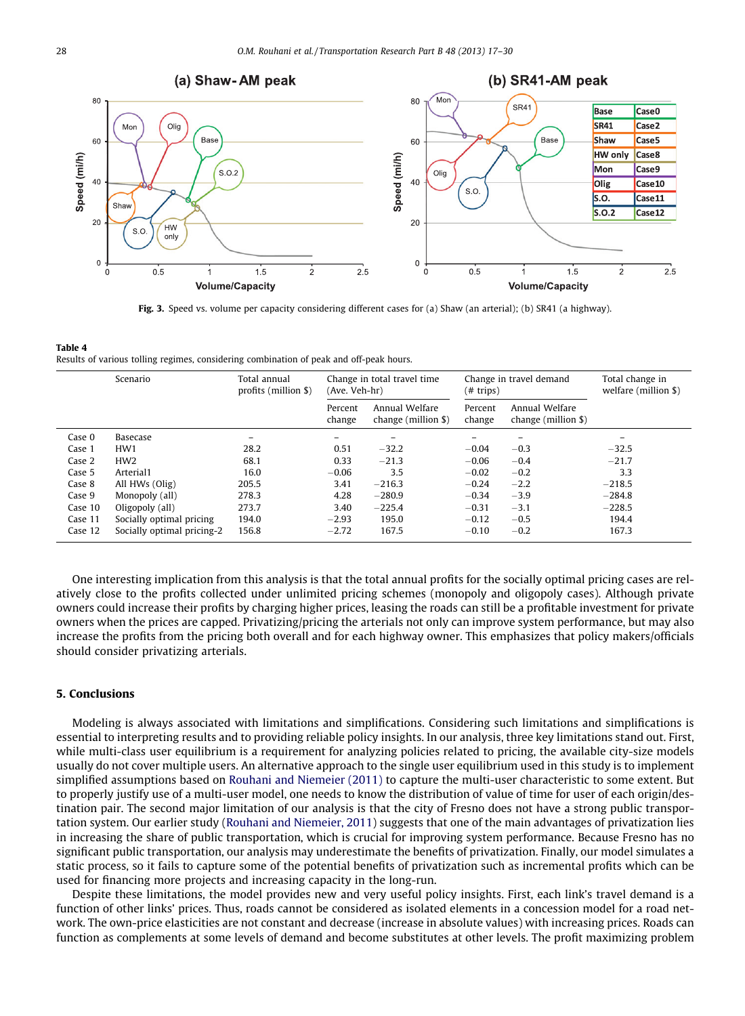<span id="page-11-0"></span>

Fig. 3. Speed vs. volume per capacity considering different cases for (a) Shaw (an arterial); (b) SR41 (a highway).

#### Table 4 Results of various tolling regimes, considering combination of peak and off-peak hours.

|         | Scenario                   | Total annual<br>profits (million \$) | (Ave. Veh-hr)     | Change in total travel time           | $($ # trips $)$   | Change in travel demand               | Total change in<br>welfare (million \$) |
|---------|----------------------------|--------------------------------------|-------------------|---------------------------------------|-------------------|---------------------------------------|-----------------------------------------|
|         |                            |                                      | Percent<br>change | Annual Welfare<br>change (million \$) | Percent<br>change | Annual Welfare<br>change $(million \$ |                                         |
| Case 0  | Basecase                   |                                      |                   |                                       |                   | $\equiv$                              |                                         |
| Case 1  | HW1                        | 28.2                                 | 0.51              | $-32.2$                               | $-0.04$           | $-0.3$                                | $-32.5$                                 |
| Case 2  | HW <sub>2</sub>            | 68.1                                 | 0.33              | $-21.3$                               | $-0.06$           | $-0.4$                                | $-21.7$                                 |
| Case 5  | Arterial1                  | 16.0                                 | $-0.06$           | 3.5                                   | $-0.02$           | $-0.2$                                | 3.3                                     |
| Case 8  | All HWs (Olig)             | 205.5                                | 3.41              | $-216.3$                              | $-0.24$           | $-2.2$                                | $-218.5$                                |
| Case 9  | Monopoly (all)             | 278.3                                | 4.28              | $-280.9$                              | $-0.34$           | $-3.9$                                | $-284.8$                                |
| Case 10 | Oligopoly (all)            | 273.7                                | 3.40              | $-225.4$                              | $-0.31$           | $-3.1$                                | $-228.5$                                |
| Case 11 | Socially optimal pricing   | 194.0                                | $-2.93$           | 195.0                                 | $-0.12$           | $-0.5$                                | 194.4                                   |
| Case 12 | Socially optimal pricing-2 | 156.8                                | $-2.72$           | 167.5                                 | $-0.10$           | $-0.2$                                | 167.3                                   |

One interesting implication from this analysis is that the total annual profits for the socially optimal pricing cases are relatively close to the profits collected under unlimited pricing schemes (monopoly and oligopoly cases). Although private owners could increase their profits by charging higher prices, leasing the roads can still be a profitable investment for private owners when the prices are capped. Privatizing/pricing the arterials not only can improve system performance, but may also increase the profits from the pricing both overall and for each highway owner. This emphasizes that policy makers/officials should consider privatizing arterials.

# 5. Conclusions

Modeling is always associated with limitations and simplifications. Considering such limitations and simplifications is essential to interpreting results and to providing reliable policy insights. In our analysis, three key limitations stand out. First, while multi-class user equilibrium is a requirement for analyzing policies related to pricing, the available city-size models usually do not cover multiple users. An alternative approach to the single user equilibrium used in this study is to implement simplified assumptions based on [Rouhani and Niemeier \(2011\)](#page-13-0) to capture the multi-user characteristic to some extent. But to properly justify use of a multi-user model, one needs to know the distribution of value of time for user of each origin/destination pair. The second major limitation of our analysis is that the city of Fresno does not have a strong public transportation system. Our earlier study [\(Rouhani and Niemeier, 2011](#page-13-0)) suggests that one of the main advantages of privatization lies in increasing the share of public transportation, which is crucial for improving system performance. Because Fresno has no significant public transportation, our analysis may underestimate the benefits of privatization. Finally, our model simulates a static process, so it fails to capture some of the potential benefits of privatization such as incremental profits which can be used for financing more projects and increasing capacity in the long-run.

Despite these limitations, the model provides new and very useful policy insights. First, each link's travel demand is a function of other links' prices. Thus, roads cannot be considered as isolated elements in a concession model for a road network. The own-price elasticities are not constant and decrease (increase in absolute values) with increasing prices. Roads can function as complements at some levels of demand and become substitutes at other levels. The profit maximizing problem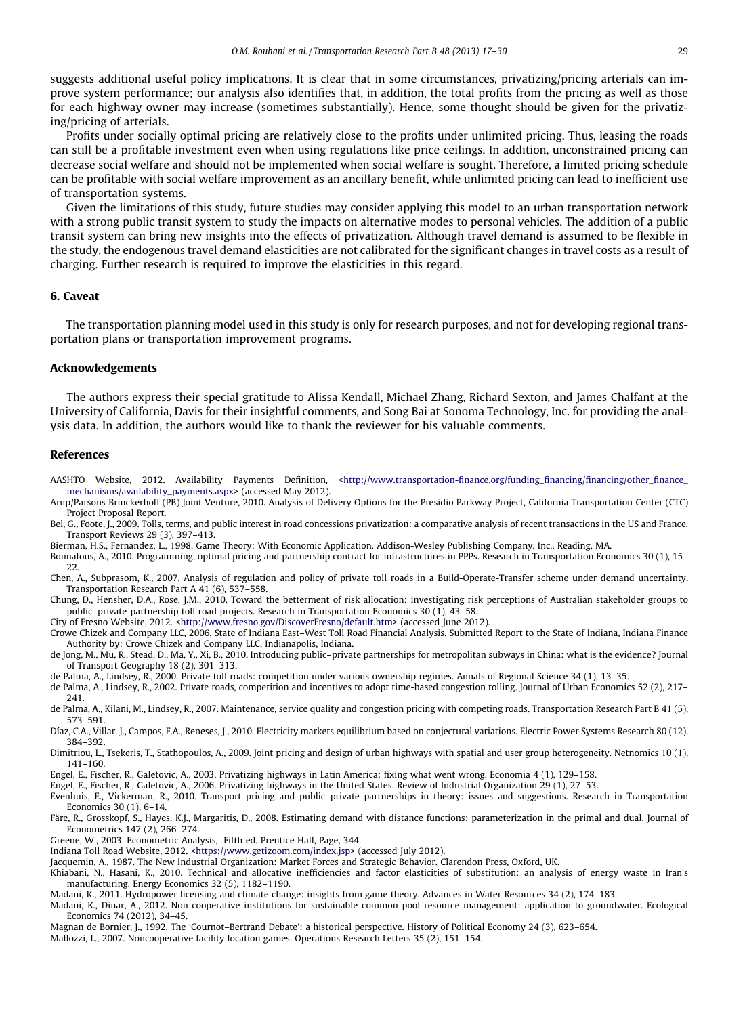<span id="page-12-0"></span>suggests additional useful policy implications. It is clear that in some circumstances, privatizing/pricing arterials can improve system performance; our analysis also identifies that, in addition, the total profits from the pricing as well as those for each highway owner may increase (sometimes substantially). Hence, some thought should be given for the privatizing/pricing of arterials.

Profits under socially optimal pricing are relatively close to the profits under unlimited pricing. Thus, leasing the roads can still be a profitable investment even when using regulations like price ceilings. In addition, unconstrained pricing can decrease social welfare and should not be implemented when social welfare is sought. Therefore, a limited pricing schedule can be profitable with social welfare improvement as an ancillary benefit, while unlimited pricing can lead to inefficient use of transportation systems.

Given the limitations of this study, future studies may consider applying this model to an urban transportation network with a strong public transit system to study the impacts on alternative modes to personal vehicles. The addition of a public transit system can bring new insights into the effects of privatization. Although travel demand is assumed to be flexible in the study, the endogenous travel demand elasticities are not calibrated for the significant changes in travel costs as a result of charging. Further research is required to improve the elasticities in this regard.

# 6. Caveat

The transportation planning model used in this study is only for research purposes, and not for developing regional transportation plans or transportation improvement programs.

## Acknowledgements

The authors express their special gratitude to Alissa Kendall, Michael Zhang, Richard Sexton, and James Chalfant at the University of California, Davis for their insightful comments, and Song Bai at Sonoma Technology, Inc. for providing the analysis data. In addition, the authors would like to thank the reviewer for his valuable comments.

#### References

- AASHTO Website, 2012. Availability Payments Definition, [<http://www.transportation-finance.org/funding\\_financing/financing/other\\_finance\\_](http://www.transportation-finance.org/funding_financing/financing/other_finance_mechanisms/availability_payments.aspx) [mechanisms/availability\\_payments.aspx>](http://www.transportation-finance.org/funding_financing/financing/other_finance_mechanisms/availability_payments.aspx) (accessed May 2012).
- Arup/Parsons Brinckerhoff (PB) Joint Venture, 2010. Analysis of Delivery Options for the Presidio Parkway Project, California Transportation Center (CTC) Project Proposal Report.
- Bel, G., Foote, J., 2009. Tolls, terms, and public interest in road concessions privatization: a comparative analysis of recent transactions in the US and France. Transport Reviews 29 (3), 397–413.
- Bierman, H.S., Fernandez, L., 1998. Game Theory: With Economic Application. Addison-Wesley Publishing Company, Inc., Reading, MA.

Bonnafous, A., 2010. Programming, optimal pricing and partnership contract for infrastructures in PPPs. Research in Transportation Economics 30 (1), 15– 22.

Chen, A., Subprasom, K., 2007. Analysis of regulation and policy of private toll roads in a Build-Operate-Transfer scheme under demand uncertainty. Transportation Research Part A 41 (6), 537–558.

Chung, D., Hensher, D.A., Rose, J.M., 2010. Toward the betterment of risk allocation: investigating risk perceptions of Australian stakeholder groups to public–private-partnership toll road projects. Research in Transportation Economics 30 (1), 43–58.

City of Fresno Website, 2012. [<http://www.fresno.gov/DiscoverFresno/default.htm](http://www.fresno.gov/DiscoverFresno/default.htm)> (accessed June 2012).

Crowe Chizek and Company LLC, 2006. State of Indiana East–West Toll Road Financial Analysis. Submitted Report to the State of Indiana, Indiana Finance Authority by: Crowe Chizek and Company LLC, Indianapolis, Indiana.

de Jong, M., Mu, R., Stead, D., Ma, Y., Xi, B., 2010. Introducing public–private partnerships for metropolitan subways in China: what is the evidence? Journal of Transport Geography 18 (2), 301–313.

de Palma, A., Lindsey, R., 2000. Private toll roads: competition under various ownership regimes. Annals of Regional Science 34 (1), 13–35.

de Palma, A., Lindsey, R., 2002. Private roads, competition and incentives to adopt time-based congestion tolling. Journal of Urban Economics 52 (2), 217– 241.

de Palma, A., Kilani, M., Lindsey, R., 2007. Maintenance, service quality and congestion pricing with competing roads. Transportation Research Part B 41 (5), 573–591.

Díaz, C.A., Villar, J., Campos, F.A., Reneses, J., 2010. Electricity markets equilibrium based on conjectural variations. Electric Power Systems Research 80 (12), 384–392.

Dimitriou, L., Tsekeris, T., Stathopoulos, A., 2009. Joint pricing and design of urban highways with spatial and user group heterogeneity. Netnomics 10 (1), 141–160.

Engel, E., Fischer, R., Galetovic, A., 2003. Privatizing highways in Latin America: fixing what went wrong. Economia 4 (1), 129–158.

Engel, E., Fischer, R., Galetovic, A., 2006. Privatizing highways in the United States. Review of Industrial Organization 29 (1), 27–53.

Evenhuis, E., Vickerman, R., 2010. Transport pricing and public–private partnerships in theory: issues and suggestions. Research in Transportation Economics 30 (1), 6–14.

Färe, R., Grosskopf, S., Hayes, K.J., Margaritis, D., 2008. Estimating demand with distance functions: parameterization in the primal and dual. Journal of Econometrics 147 (2), 266–274.

Greene, W., 2003. Econometric Analysis, Fifth ed. Prentice Hall, Page, 344.

Indiana Toll Road Website, 2012. [<https://www.getizoom.com/index.jsp](https://www.getizoom.com/index.jsp)> (accessed July 2012).

Jacquemin, A., 1987. The New Industrial Organization: Market Forces and Strategic Behavior. Clarendon Press, Oxford, UK.

Khiabani, N., Hasani, K., 2010. Technical and allocative inefficiencies and factor elasticities of substitution: an analysis of energy waste in Iran's manufacturing. Energy Economics 32 (5), 1182–1190.

Madani, K., 2011. Hydropower licensing and climate change: insights from game theory. Advances in Water Resources 34 (2), 174–183.

Madani, K., Dinar, A., 2012. Non-cooperative institutions for sustainable common pool resource management: application to groundwater. Ecological Economics 74 (2012), 34–45.

Magnan de Bornier, J., 1992. The 'Cournot–Bertrand Debate': a historical perspective. History of Political Economy 24 (3), 623–654.

Mallozzi, L., 2007. Noncooperative facility location games. Operations Research Letters 35 (2), 151–154.